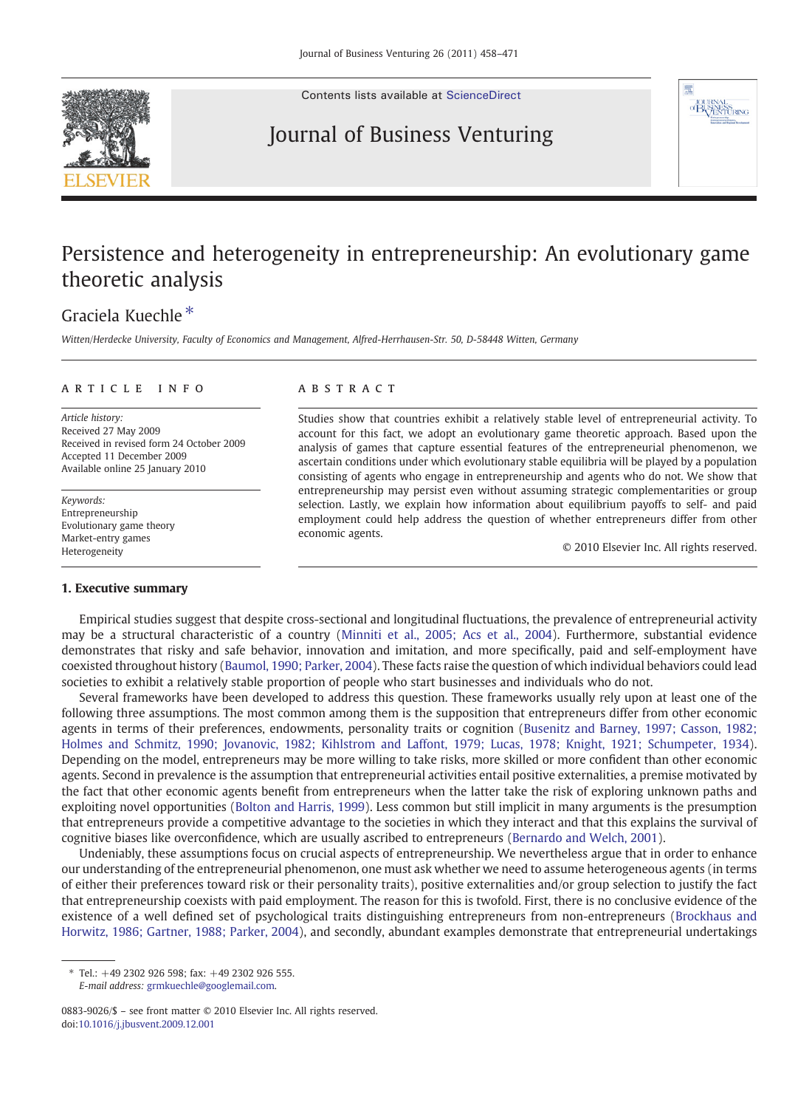

Contents lists available at [ScienceDirect](http://www.sciencedirect.com/science/journal/08839026)

# Journal of Business Venturing



# Persistence and heterogeneity in entrepreneurship: An evolutionary game theoretic analysis

## Graciela Kuechle<sup>\*</sup>

Witten/Herdecke University, Faculty of Economics and Management, Alfred-Herrhausen-Str. 50, D-58448 Witten, Germany

#### article info abstract

Article history: Received 27 May 2009 Received in revised form 24 October 2009 Accepted 11 December 2009 Available online 25 January 2010

Keywords: Entrepreneurship Evolutionary game theory Market-entry games Heterogeneity

#### 1. Executive summary

Studies show that countries exhibit a relatively stable level of entrepreneurial activity. To account for this fact, we adopt an evolutionary game theoretic approach. Based upon the analysis of games that capture essential features of the entrepreneurial phenomenon, we ascertain conditions under which evolutionary stable equilibria will be played by a population consisting of agents who engage in entrepreneurship and agents who do not. We show that entrepreneurship may persist even without assuming strategic complementarities or group selection. Lastly, we explain how information about equilibrium payoffs to self- and paid employment could help address the question of whether entrepreneurs differ from other economic agents.

© 2010 Elsevier Inc. All rights reserved.

Empirical studies suggest that despite cross-sectional and longitudinal fluctuations, the prevalence of entrepreneurial activity may be a structural characteristic of a country ([Minniti et al., 2005; Acs et al., 2004](#page-12-0)). Furthermore, substantial evidence demonstrates that risky and safe behavior, innovation and imitation, and more specifically, paid and self-employment have coexisted throughout history ([Baumol, 1990; Parker, 2004\)](#page-12-0). These facts raise the question of which individual behaviors could lead societies to exhibit a relatively stable proportion of people who start businesses and individuals who do not.

Several frameworks have been developed to address this question. These frameworks usually rely upon at least one of the following three assumptions. The most common among them is the supposition that entrepreneurs differ from other economic agents in terms of their preferences, endowments, personality traits or cognition [\(Busenitz and Barney, 1997; Casson, 1982;](#page-12-0) [Holmes and Schmitz, 1990; Jovanovic, 1982; Kihlstrom and Laffont, 1979; Lucas, 1978; Knight, 1921; Schumpeter, 1934](#page-12-0)). Depending on the model, entrepreneurs may be more willing to take risks, more skilled or more confident than other economic agents. Second in prevalence is the assumption that entrepreneurial activities entail positive externalities, a premise motivated by the fact that other economic agents benefit from entrepreneurs when the latter take the risk of exploring unknown paths and exploiting novel opportunities ([Bolton and Harris, 1999\)](#page-12-0). Less common but still implicit in many arguments is the presumption that entrepreneurs provide a competitive advantage to the societies in which they interact and that this explains the survival of cognitive biases like overconfidence, which are usually ascribed to entrepreneurs ([Bernardo and Welch, 2001\)](#page-12-0).

Undeniably, these assumptions focus on crucial aspects of entrepreneurship. We nevertheless argue that in order to enhance our understanding of the entrepreneurial phenomenon, one must ask whether we need to assume heterogeneous agents (in terms of either their preferences toward risk or their personality traits), positive externalities and/or group selection to justify the fact that entrepreneurship coexists with paid employment. The reason for this is twofold. First, there is no conclusive evidence of the existence of a well defined set of psychological traits distinguishing entrepreneurs from non-entrepreneurs ([Brockhaus and](#page-12-0) [Horwitz, 1986; Gartner, 1988; Parker, 2004](#page-12-0)), and secondly, abundant examples demonstrate that entrepreneurial undertakings

⁎ Tel.: +49 2302 926 598; fax: +49 2302 926 555. E-mail address: [grmkuechle@googlemail.com](mailto:grmkuechle@googlemail.com).

<sup>0883-9026/\$</sup> – see front matter © 2010 Elsevier Inc. All rights reserved. doi:[10.1016/j.jbusvent.2009.12.001](http://dx.doi.org/10.1016/j.jbusvent.2009.12.001)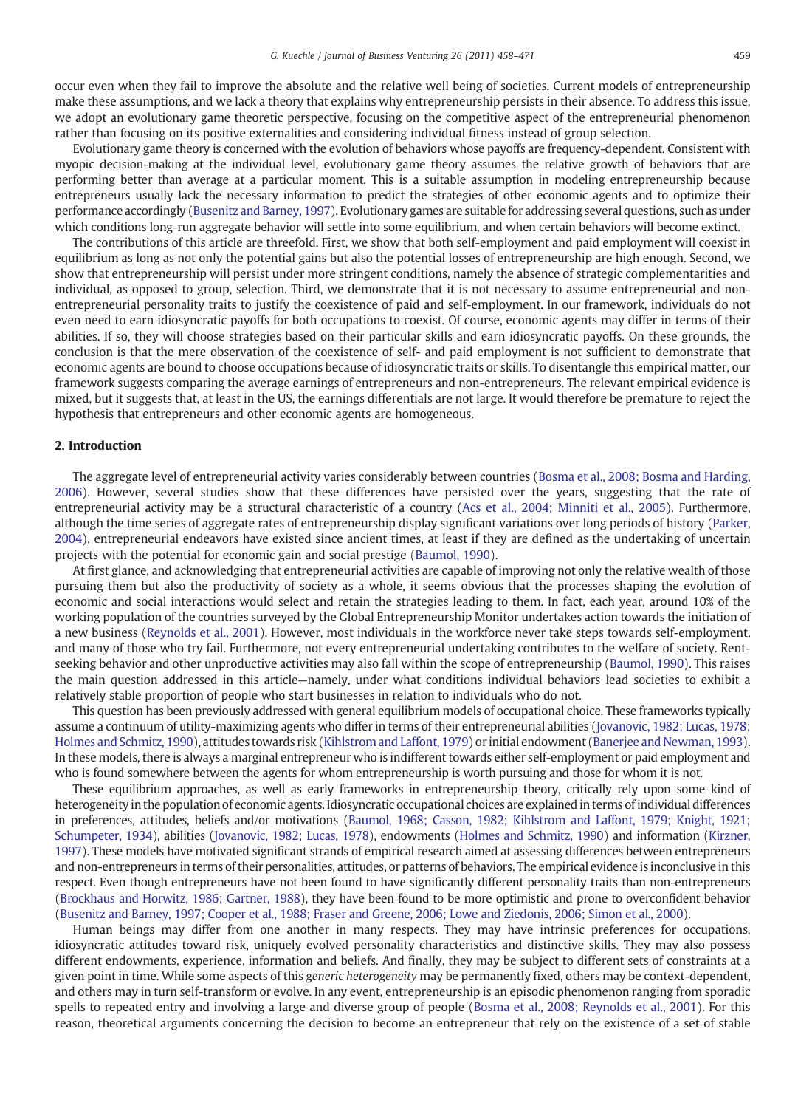occur even when they fail to improve the absolute and the relative well being of societies. Current models of entrepreneurship make these assumptions, and we lack a theory that explains why entrepreneurship persists in their absence. To address this issue, we adopt an evolutionary game theoretic perspective, focusing on the competitive aspect of the entrepreneurial phenomenon rather than focusing on its positive externalities and considering individual fitness instead of group selection.

Evolutionary game theory is concerned with the evolution of behaviors whose payoffs are frequency-dependent. Consistent with myopic decision-making at the individual level, evolutionary game theory assumes the relative growth of behaviors that are performing better than average at a particular moment. This is a suitable assumption in modeling entrepreneurship because entrepreneurs usually lack the necessary information to predict the strategies of other economic agents and to optimize their performance accordingly [\(Busenitz and Barney, 1997](#page-12-0)). Evolutionary games are suitable for addressing several questions, such as under which conditions long-run aggregate behavior will settle into some equilibrium, and when certain behaviors will become extinct.

The contributions of this article are threefold. First, we show that both self-employment and paid employment will coexist in equilibrium as long as not only the potential gains but also the potential losses of entrepreneurship are high enough. Second, we show that entrepreneurship will persist under more stringent conditions, namely the absence of strategic complementarities and individual, as opposed to group, selection. Third, we demonstrate that it is not necessary to assume entrepreneurial and nonentrepreneurial personality traits to justify the coexistence of paid and self-employment. In our framework, individuals do not even need to earn idiosyncratic payoffs for both occupations to coexist. Of course, economic agents may differ in terms of their abilities. If so, they will choose strategies based on their particular skills and earn idiosyncratic payoffs. On these grounds, the conclusion is that the mere observation of the coexistence of self- and paid employment is not sufficient to demonstrate that economic agents are bound to choose occupations because of idiosyncratic traits or skills. To disentangle this empirical matter, our framework suggests comparing the average earnings of entrepreneurs and non-entrepreneurs. The relevant empirical evidence is mixed, but it suggests that, at least in the US, the earnings differentials are not large. It would therefore be premature to reject the hypothesis that entrepreneurs and other economic agents are homogeneous.

#### 2. Introduction

The aggregate level of entrepreneurial activity varies considerably between countries ([Bosma et al., 2008; Bosma and Harding,](#page-12-0) [2006](#page-12-0)). However, several studies show that these differences have persisted over the years, suggesting that the rate of entrepreneurial activity may be a structural characteristic of a country ([Acs et al., 2004; Minniti et al., 2005](#page-12-0)). Furthermore, although the time series of aggregate rates of entrepreneurship display significant variations over long periods of history ([Parker,](#page-13-0) [2004](#page-13-0)), entrepreneurial endeavors have existed since ancient times, at least if they are defined as the undertaking of uncertain projects with the potential for economic gain and social prestige [\(Baumol, 1990](#page-12-0)).

At first glance, and acknowledging that entrepreneurial activities are capable of improving not only the relative wealth of those pursuing them but also the productivity of society as a whole, it seems obvious that the processes shaping the evolution of economic and social interactions would select and retain the strategies leading to them. In fact, each year, around 10% of the working population of the countries surveyed by the Global Entrepreneurship Monitor undertakes action towards the initiation of a new business [\(Reynolds et al., 2001\)](#page-13-0). However, most individuals in the workforce never take steps towards self-employment, and many of those who try fail. Furthermore, not every entrepreneurial undertaking contributes to the welfare of society. Rentseeking behavior and other unproductive activities may also fall within the scope of entrepreneurship ([Baumol, 1990](#page-12-0)). This raises the main question addressed in this article—namely, under what conditions individual behaviors lead societies to exhibit a relatively stable proportion of people who start businesses in relation to individuals who do not.

This question has been previously addressed with general equilibrium models of occupational choice. These frameworks typically assume a continuum of utility-maximizing agents who differ in terms of their entrepreneurial abilities ([Jovanovic, 1982; Lucas, 1978;](#page-12-0) [Holmes and Schmitz, 1990](#page-12-0)), attitudes towards risk [\(Kihlstrom and Laffont, 1979\)](#page-12-0) or initial endowment ([Banerjee and Newman, 1993\)](#page-12-0). In these models, there is always a marginal entrepreneur who is indifferent towards either self-employment or paid employment and who is found somewhere between the agents for whom entrepreneurship is worth pursuing and those for whom it is not.

These equilibrium approaches, as well as early frameworks in entrepreneurship theory, critically rely upon some kind of heterogeneity in the population of economic agents. Idiosyncratic occupational choices are explained in terms of individual differences in preferences, attitudes, beliefs and/or motivations ([Baumol, 1968; Casson, 1982; Kihlstrom and Laffont, 1979; Knight, 1921;](#page-12-0) [Schumpeter, 1934](#page-12-0)), abilities ([Jovanovic, 1982; Lucas, 1978](#page-12-0)), endowments [\(Holmes and Schmitz, 1990\)](#page-12-0) and information [\(Kirzner,](#page-12-0) [1997\)](#page-12-0). These models have motivated significant strands of empirical research aimed at assessing differences between entrepreneurs and non-entrepreneurs in terms of their personalities, attitudes, or patterns of behaviors. The empirical evidence is inconclusive in this respect. Even though entrepreneurs have not been found to have significantly different personality traits than non-entrepreneurs [\(Brockhaus and Horwitz, 1986; Gartner, 1988](#page-12-0)), they have been found to be more optimistic and prone to overconfident behavior [\(Busenitz and Barney, 1997; Cooper et al., 1988; Fraser and Greene, 2006; Lowe and Ziedonis, 2006; Simon et al., 2000\)](#page-12-0).

Human beings may differ from one another in many respects. They may have intrinsic preferences for occupations, idiosyncratic attitudes toward risk, uniquely evolved personality characteristics and distinctive skills. They may also possess different endowments, experience, information and beliefs. And finally, they may be subject to different sets of constraints at a given point in time. While some aspects of this generic heterogeneity may be permanently fixed, others may be context-dependent, and others may in turn self-transform or evolve. In any event, entrepreneurship is an episodic phenomenon ranging from sporadic spells to repeated entry and involving a large and diverse group of people ([Bosma et al., 2008; Reynolds et al., 2001](#page-12-0)). For this reason, theoretical arguments concerning the decision to become an entrepreneur that rely on the existence of a set of stable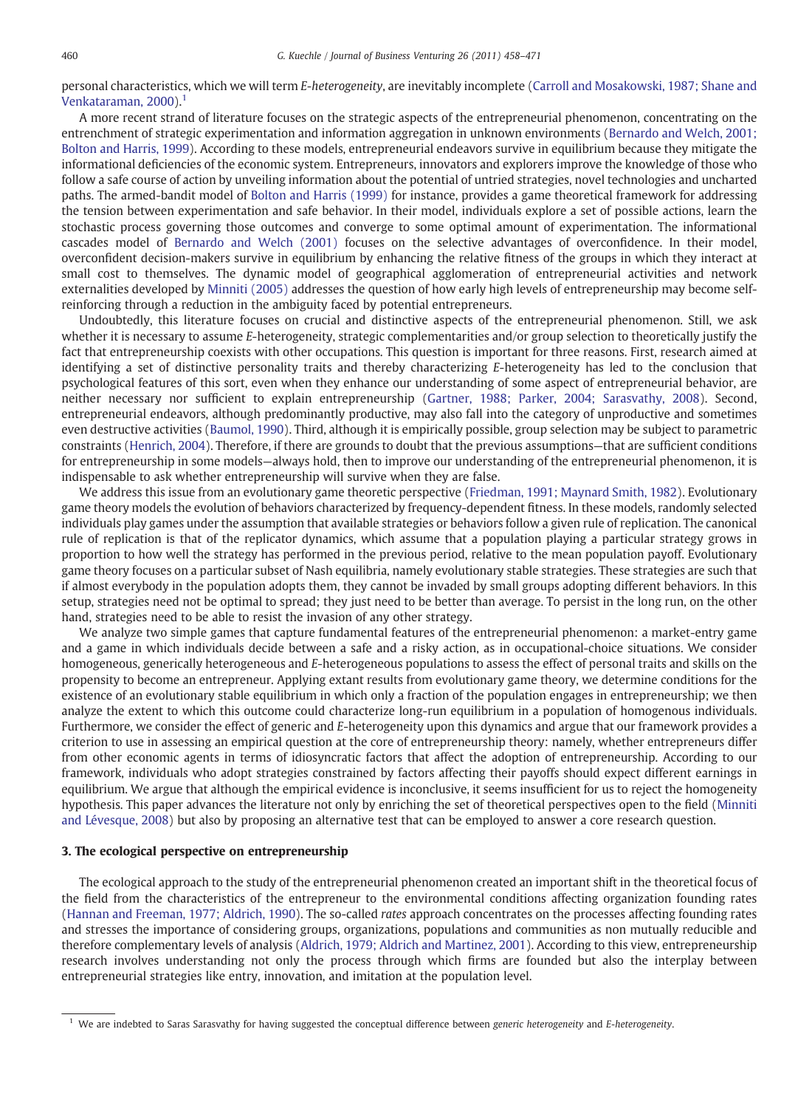personal characteristics, which we will term E-heterogeneity, are inevitably incomplete [\(Carroll and Mosakowski, 1987; Shane and](#page-12-0) [Venkataraman, 2000\)](#page-12-0).<sup>1</sup>

A more recent strand of literature focuses on the strategic aspects of the entrepreneurial phenomenon, concentrating on the entrenchment of strategic experimentation and information aggregation in unknown environments [\(Bernardo and Welch, 2001;](#page-12-0) [Bolton and Harris, 1999\)](#page-12-0). According to these models, entrepreneurial endeavors survive in equilibrium because they mitigate the informational deficiencies of the economic system. Entrepreneurs, innovators and explorers improve the knowledge of those who follow a safe course of action by unveiling information about the potential of untried strategies, novel technologies and uncharted paths. The armed-bandit model of [Bolton and Harris \(1999\)](#page-12-0) for instance, provides a game theoretical framework for addressing the tension between experimentation and safe behavior. In their model, individuals explore a set of possible actions, learn the stochastic process governing those outcomes and converge to some optimal amount of experimentation. The informational cascades model of [Bernardo and Welch \(2001\)](#page-12-0) focuses on the selective advantages of overconfidence. In their model, overconfident decision-makers survive in equilibrium by enhancing the relative fitness of the groups in which they interact at small cost to themselves. The dynamic model of geographical agglomeration of entrepreneurial activities and network externalities developed by [Minniti \(2005\)](#page-12-0) addresses the question of how early high levels of entrepreneurship may become selfreinforcing through a reduction in the ambiguity faced by potential entrepreneurs.

Undoubtedly, this literature focuses on crucial and distinctive aspects of the entrepreneurial phenomenon. Still, we ask whether it is necessary to assume E-heterogeneity, strategic complementarities and/or group selection to theoretically justify the fact that entrepreneurship coexists with other occupations. This question is important for three reasons. First, research aimed at identifying a set of distinctive personality traits and thereby characterizing E-heterogeneity has led to the conclusion that psychological features of this sort, even when they enhance our understanding of some aspect of entrepreneurial behavior, are neither necessary nor sufficient to explain entrepreneurship ([Gartner, 1988; Parker, 2004; Sarasvathy, 2008](#page-12-0)). Second, entrepreneurial endeavors, although predominantly productive, may also fall into the category of unproductive and sometimes even destructive activities ([Baumol, 1990](#page-12-0)). Third, although it is empirically possible, group selection may be subject to parametric constraints ([Henrich, 2004\)](#page-12-0). Therefore, if there are grounds to doubt that the previous assumptions—that are sufficient conditions for entrepreneurship in some models—always hold, then to improve our understanding of the entrepreneurial phenomenon, it is indispensable to ask whether entrepreneurship will survive when they are false.

We address this issue from an evolutionary game theoretic perspective ([Friedman, 1991; Maynard Smith, 1982\)](#page-12-0). Evolutionary game theory models the evolution of behaviors characterized by frequency-dependent fitness. In these models, randomly selected individuals play games under the assumption that available strategies or behaviors follow a given rule of replication. The canonical rule of replication is that of the replicator dynamics, which assume that a population playing a particular strategy grows in proportion to how well the strategy has performed in the previous period, relative to the mean population payoff. Evolutionary game theory focuses on a particular subset of Nash equilibria, namely evolutionary stable strategies. These strategies are such that if almost everybody in the population adopts them, they cannot be invaded by small groups adopting different behaviors. In this setup, strategies need not be optimal to spread; they just need to be better than average. To persist in the long run, on the other hand, strategies need to be able to resist the invasion of any other strategy.

We analyze two simple games that capture fundamental features of the entrepreneurial phenomenon: a market-entry game and a game in which individuals decide between a safe and a risky action, as in occupational-choice situations. We consider homogeneous, generically heterogeneous and E-heterogeneous populations to assess the effect of personal traits and skills on the propensity to become an entrepreneur. Applying extant results from evolutionary game theory, we determine conditions for the existence of an evolutionary stable equilibrium in which only a fraction of the population engages in entrepreneurship; we then analyze the extent to which this outcome could characterize long-run equilibrium in a population of homogenous individuals. Furthermore, we consider the effect of generic and E-heterogeneity upon this dynamics and argue that our framework provides a criterion to use in assessing an empirical question at the core of entrepreneurship theory: namely, whether entrepreneurs differ from other economic agents in terms of idiosyncratic factors that affect the adoption of entrepreneurship. According to our framework, individuals who adopt strategies constrained by factors affecting their payoffs should expect different earnings in equilibrium. We argue that although the empirical evidence is inconclusive, it seems insufficient for us to reject the homogeneity hypothesis. This paper advances the literature not only by enriching the set of theoretical perspectives open to the field ([Minniti](#page-12-0) [and Lévesque, 2008](#page-12-0)) but also by proposing an alternative test that can be employed to answer a core research question.

#### 3. The ecological perspective on entrepreneurship

The ecological approach to the study of the entrepreneurial phenomenon created an important shift in the theoretical focus of the field from the characteristics of the entrepreneur to the environmental conditions affecting organization founding rates ([Hannan and Freeman, 1977; Aldrich, 1990](#page-12-0)). The so-called rates approach concentrates on the processes affecting founding rates and stresses the importance of considering groups, organizations, populations and communities as non mutually reducible and therefore complementary levels of analysis ([Aldrich, 1979; Aldrich and Martinez, 2001\)](#page-12-0). According to this view, entrepreneurship research involves understanding not only the process through which firms are founded but also the interplay between entrepreneurial strategies like entry, innovation, and imitation at the population level.

 $1$  We are indebted to Saras Sarasvathy for having suggested the conceptual difference between generic heterogeneity and E-heterogeneity.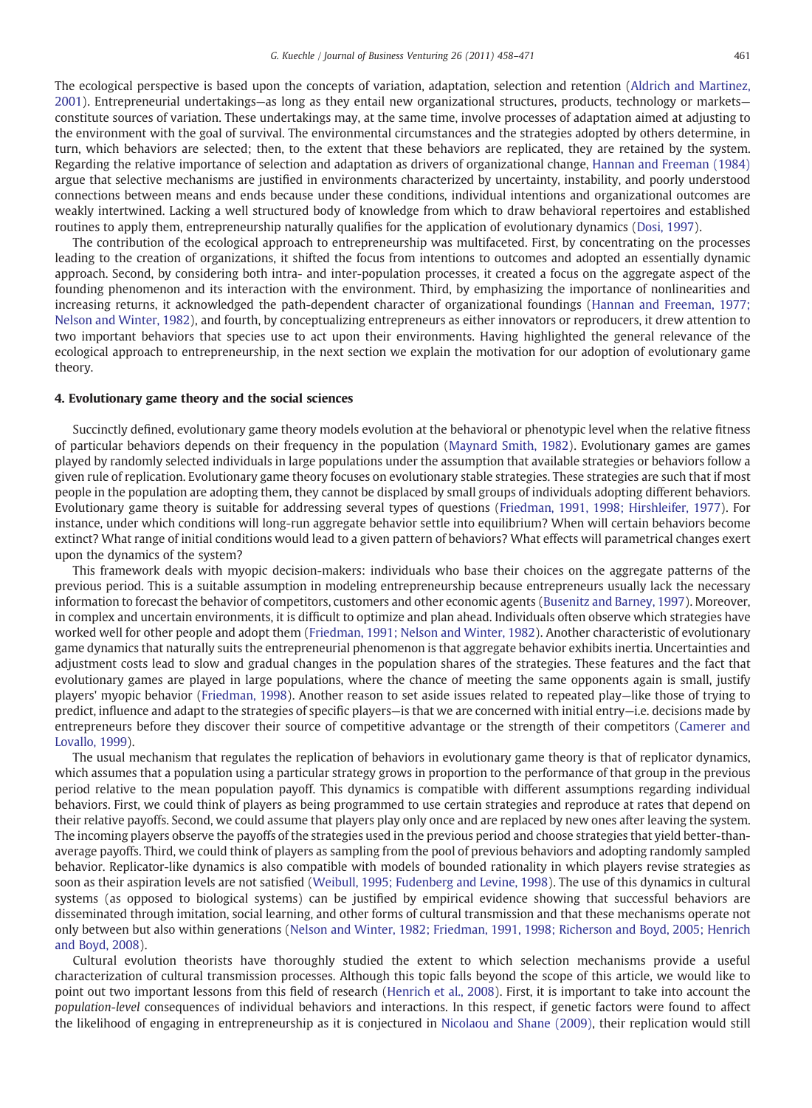The ecological perspective is based upon the concepts of variation, adaptation, selection and retention ([Aldrich and Martinez,](#page-12-0) [2001](#page-12-0)). Entrepreneurial undertakings—as long as they entail new organizational structures, products, technology or markets constitute sources of variation. These undertakings may, at the same time, involve processes of adaptation aimed at adjusting to the environment with the goal of survival. The environmental circumstances and the strategies adopted by others determine, in turn, which behaviors are selected; then, to the extent that these behaviors are replicated, they are retained by the system. Regarding the relative importance of selection and adaptation as drivers of organizational change, [Hannan and Freeman \(1984\)](#page-12-0) argue that selective mechanisms are justified in environments characterized by uncertainty, instability, and poorly understood connections between means and ends because under these conditions, individual intentions and organizational outcomes are weakly intertwined. Lacking a well structured body of knowledge from which to draw behavioral repertoires and established routines to apply them, entrepreneurship naturally qualifies for the application of evolutionary dynamics ([Dosi, 1997](#page-12-0)).

The contribution of the ecological approach to entrepreneurship was multifaceted. First, by concentrating on the processes leading to the creation of organizations, it shifted the focus from intentions to outcomes and adopted an essentially dynamic approach. Second, by considering both intra- and inter-population processes, it created a focus on the aggregate aspect of the founding phenomenon and its interaction with the environment. Third, by emphasizing the importance of nonlinearities and increasing returns, it acknowledged the path-dependent character of organizational foundings ([Hannan and Freeman, 1977;](#page-12-0) [Nelson and Winter, 1982](#page-12-0)), and fourth, by conceptualizing entrepreneurs as either innovators or reproducers, it drew attention to two important behaviors that species use to act upon their environments. Having highlighted the general relevance of the ecological approach to entrepreneurship, in the next section we explain the motivation for our adoption of evolutionary game theory.

#### 4. Evolutionary game theory and the social sciences

Succinctly defined, evolutionary game theory models evolution at the behavioral or phenotypic level when the relative fitness of particular behaviors depends on their frequency in the population ([Maynard Smith, 1982](#page-12-0)). Evolutionary games are games played by randomly selected individuals in large populations under the assumption that available strategies or behaviors follow a given rule of replication. Evolutionary game theory focuses on evolutionary stable strategies. These strategies are such that if most people in the population are adopting them, they cannot be displaced by small groups of individuals adopting different behaviors. Evolutionary game theory is suitable for addressing several types of questions [\(Friedman, 1991, 1998; Hirshleifer, 1977](#page-12-0)). For instance, under which conditions will long-run aggregate behavior settle into equilibrium? When will certain behaviors become extinct? What range of initial conditions would lead to a given pattern of behaviors? What effects will parametrical changes exert upon the dynamics of the system?

This framework deals with myopic decision-makers: individuals who base their choices on the aggregate patterns of the previous period. This is a suitable assumption in modeling entrepreneurship because entrepreneurs usually lack the necessary information to forecast the behavior of competitors, customers and other economic agents [\(Busenitz and Barney, 1997\)](#page-12-0). Moreover, in complex and uncertain environments, it is difficult to optimize and plan ahead. Individuals often observe which strategies have worked well for other people and adopt them [\(Friedman, 1991; Nelson and Winter, 1982\)](#page-12-0). Another characteristic of evolutionary game dynamics that naturally suits the entrepreneurial phenomenon is that aggregate behavior exhibits inertia. Uncertainties and adjustment costs lead to slow and gradual changes in the population shares of the strategies. These features and the fact that evolutionary games are played in large populations, where the chance of meeting the same opponents again is small, justify players' myopic behavior [\(Friedman, 1998](#page-12-0)). Another reason to set aside issues related to repeated play—like those of trying to predict, influence and adapt to the strategies of specific players—is that we are concerned with initial entry—i.e. decisions made by entrepreneurs before they discover their source of competitive advantage or the strength of their competitors ([Camerer and](#page-12-0) [Lovallo, 1999](#page-12-0)).

The usual mechanism that regulates the replication of behaviors in evolutionary game theory is that of replicator dynamics, which assumes that a population using a particular strategy grows in proportion to the performance of that group in the previous period relative to the mean population payoff. This dynamics is compatible with different assumptions regarding individual behaviors. First, we could think of players as being programmed to use certain strategies and reproduce at rates that depend on their relative payoffs. Second, we could assume that players play only once and are replaced by new ones after leaving the system. The incoming players observe the payoffs of the strategies used in the previous period and choose strategies that yield better-thanaverage payoffs. Third, we could think of players as sampling from the pool of previous behaviors and adopting randomly sampled behavior. Replicator-like dynamics is also compatible with models of bounded rationality in which players revise strategies as soon as their aspiration levels are not satisfied ([Weibull, 1995; Fudenberg and Levine, 1998](#page-13-0)). The use of this dynamics in cultural systems (as opposed to biological systems) can be justified by empirical evidence showing that successful behaviors are disseminated through imitation, social learning, and other forms of cultural transmission and that these mechanisms operate not only between but also within generations [\(Nelson and Winter, 1982; Friedman, 1991, 1998; Richerson and Boyd, 2005; Henrich](#page-12-0) [and Boyd, 2008](#page-12-0)).

Cultural evolution theorists have thoroughly studied the extent to which selection mechanisms provide a useful characterization of cultural transmission processes. Although this topic falls beyond the scope of this article, we would like to point out two important lessons from this field of research ([Henrich et al., 2008](#page-12-0)). First, it is important to take into account the population-level consequences of individual behaviors and interactions. In this respect, if genetic factors were found to affect the likelihood of engaging in entrepreneurship as it is conjectured in [Nicolaou and Shane \(2009\)](#page-12-0), their replication would still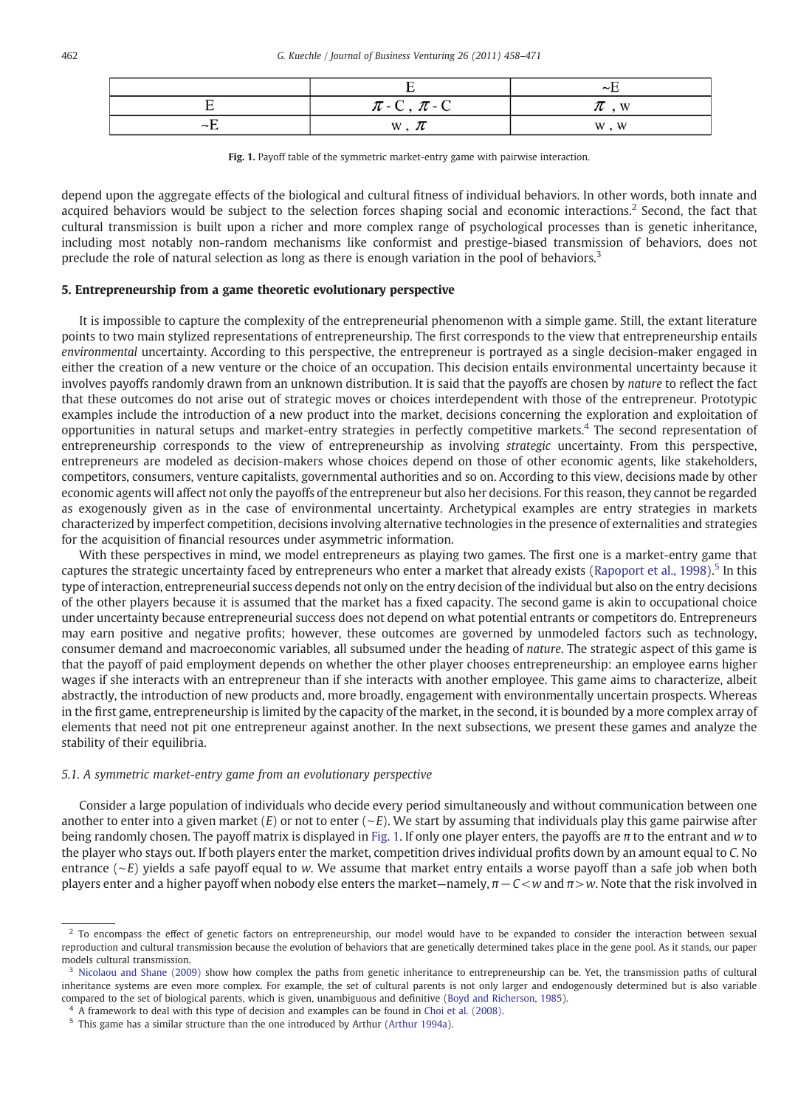<span id="page-4-0"></span>

|                       |                      | $\tilde{}$ |
|-----------------------|----------------------|------------|
|                       | $\pi$ - C, $\pi$ - C |            |
| $\tilde{\phantom{a}}$ |                      | w.w        |

Fig. 1. Payoff table of the symmetric market-entry game with pairwise interaction.

depend upon the aggregate effects of the biological and cultural fitness of individual behaviors. In other words, both innate and acquired behaviors would be subject to the selection forces shaping social and economic interactions.<sup>2</sup> Second, the fact that cultural transmission is built upon a richer and more complex range of psychological processes than is genetic inheritance, including most notably non-random mechanisms like conformist and prestige-biased transmission of behaviors, does not preclude the role of natural selection as long as there is enough variation in the pool of behaviors.<sup>3</sup>

#### 5. Entrepreneurship from a game theoretic evolutionary perspective

It is impossible to capture the complexity of the entrepreneurial phenomenon with a simple game. Still, the extant literature points to two main stylized representations of entrepreneurship. The first corresponds to the view that entrepreneurship entails environmental uncertainty. According to this perspective, the entrepreneur is portrayed as a single decision-maker engaged in either the creation of a new venture or the choice of an occupation. This decision entails environmental uncertainty because it involves payoffs randomly drawn from an unknown distribution. It is said that the payoffs are chosen by nature to reflect the fact that these outcomes do not arise out of strategic moves or choices interdependent with those of the entrepreneur. Prototypic examples include the introduction of a new product into the market, decisions concerning the exploration and exploitation of opportunities in natural setups and market-entry strategies in perfectly competitive markets.4 The second representation of entrepreneurship corresponds to the view of entrepreneurship as involving strategic uncertainty. From this perspective, entrepreneurs are modeled as decision-makers whose choices depend on those of other economic agents, like stakeholders, competitors, consumers, venture capitalists, governmental authorities and so on. According to this view, decisions made by other economic agents will affect not only the payoffs of the entrepreneur but also her decisions. For this reason, they cannot be regarded as exogenously given as in the case of environmental uncertainty. Archetypical examples are entry strategies in markets characterized by imperfect competition, decisions involving alternative technologies in the presence of externalities and strategies for the acquisition of financial resources under asymmetric information.

With these perspectives in mind, we model entrepreneurs as playing two games. The first one is a market-entry game that captures the strategic uncertainty faced by entrepreneurs who enter a market that already exists [\(Rapoport et al., 1998\)](#page-13-0).<sup>5</sup> In this type of interaction, entrepreneurial success depends not only on the entry decision of the individual but also on the entry decisions of the other players because it is assumed that the market has a fixed capacity. The second game is akin to occupational choice under uncertainty because entrepreneurial success does not depend on what potential entrants or competitors do. Entrepreneurs may earn positive and negative profits; however, these outcomes are governed by unmodeled factors such as technology, consumer demand and macroeconomic variables, all subsumed under the heading of nature. The strategic aspect of this game is that the payoff of paid employment depends on whether the other player chooses entrepreneurship: an employee earns higher wages if she interacts with an entrepreneur than if she interacts with another employee. This game aims to characterize, albeit abstractly, the introduction of new products and, more broadly, engagement with environmentally uncertain prospects. Whereas in the first game, entrepreneurship is limited by the capacity of the market, in the second, it is bounded by a more complex array of elements that need not pit one entrepreneur against another. In the next subsections, we present these games and analyze the stability of their equilibria.

#### 5.1. A symmetric market-entry game from an evolutionary perspective

Consider a large population of individuals who decide every period simultaneously and without communication between one another to enter into a given market  $(E)$  or not to enter (∼E). We start by assuming that individuals play this game pairwise after being randomly chosen. The payoff matrix is displayed in Fig. 1. If only one player enters, the payoffs are  $\pi$  to the entrant and w to the player who stays out. If both players enter the market, competition drives individual profits down by an amount equal to C. No entrance (∼E) yields a safe payoff equal to w. We assume that market entry entails a worse payoff than a safe job when both players enter and a higher payoff when nobody else enters the market—namely,  $\pi$  –  $C$  < w and  $\pi$  > w. Note that the risk involved in

<sup>&</sup>lt;sup>2</sup> To encompass the effect of genetic factors on entrepreneurship, our model would have to be expanded to consider the interaction between sexual reproduction and cultural transmission because the evolution of behaviors that are genetically determined takes place in the gene pool. As it stands, our paper models cultural transmission.

 $3$  [Nicolaou and Shane \(2009\)](#page-12-0) show how complex the paths from genetic inheritance to entrepreneurship can be. Yet, the transmission paths of cultural inheritance systems are even more complex. For example, the set of cultural parents is not only larger and endogenously determined but is also variable compared to the set of biological parents, which is given, unambiguous and definitive [\(Boyd and Richerson, 1985\)](#page-12-0).

 $4$  A framework to deal with this type of decision and examples can be found in [Choi et al. \(2008\)](#page-12-0).

<sup>&</sup>lt;sup>5</sup> This game has a similar structure than the one introduced by Arthur ([Arthur 1994a\)](#page-12-0).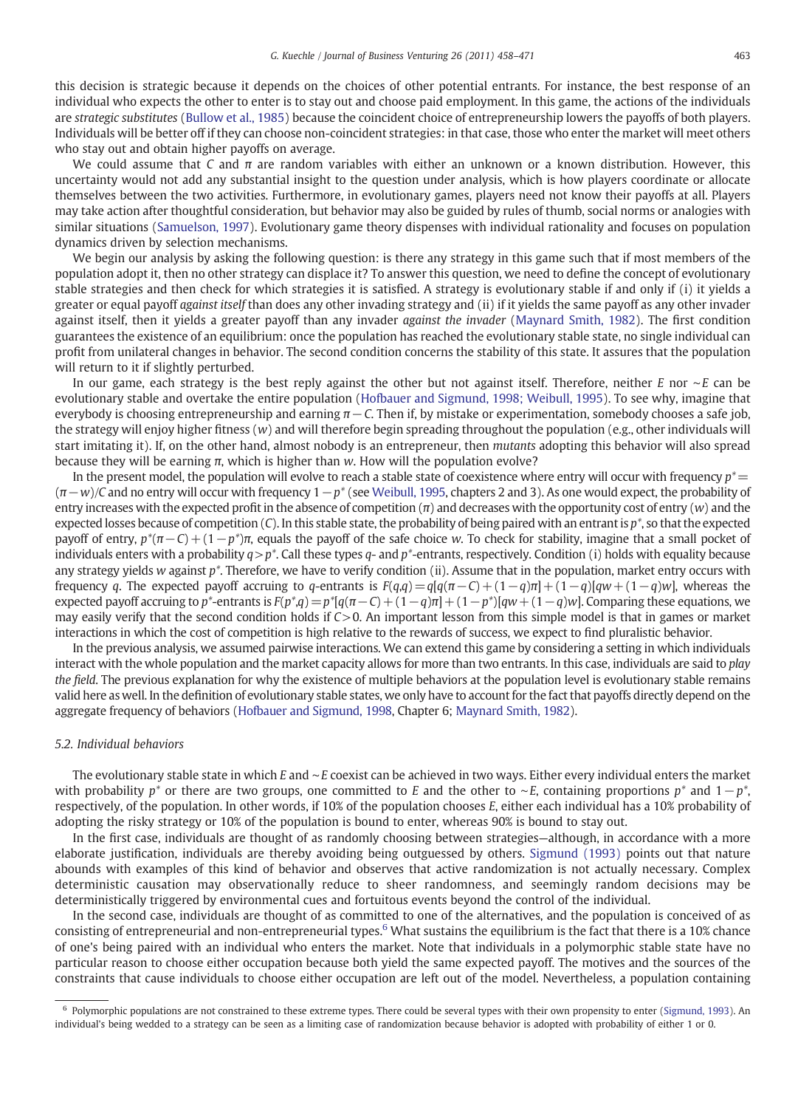this decision is strategic because it depends on the choices of other potential entrants. For instance, the best response of an individual who expects the other to enter is to stay out and choose paid employment. In this game, the actions of the individuals are strategic substitutes [\(Bullow et al., 1985\)](#page-12-0) because the coincident choice of entrepreneurship lowers the payoffs of both players. Individuals will be better off if they can choose non-coincident strategies: in that case, those who enter the market will meet others who stay out and obtain higher payoffs on average.

We could assume that C and  $\pi$  are random variables with either an unknown or a known distribution. However, this uncertainty would not add any substantial insight to the question under analysis, which is how players coordinate or allocate themselves between the two activities. Furthermore, in evolutionary games, players need not know their payoffs at all. Players may take action after thoughtful consideration, but behavior may also be guided by rules of thumb, social norms or analogies with similar situations [\(Samuelson, 1997](#page-13-0)). Evolutionary game theory dispenses with individual rationality and focuses on population dynamics driven by selection mechanisms.

We begin our analysis by asking the following question: is there any strategy in this game such that if most members of the population adopt it, then no other strategy can displace it? To answer this question, we need to define the concept of evolutionary stable strategies and then check for which strategies it is satisfied. A strategy is evolutionary stable if and only if (i) it yields a greater or equal payoff against itself than does any other invading strategy and (ii) if it yields the same payoff as any other invader against itself, then it yields a greater payoff than any invader against the invader ([Maynard Smith, 1982](#page-12-0)). The first condition guarantees the existence of an equilibrium: once the population has reached the evolutionary stable state, no single individual can profit from unilateral changes in behavior. The second condition concerns the stability of this state. It assures that the population will return to it if slightly perturbed.

In our game, each strategy is the best reply against the other but not against itself. Therefore, neither E nor ∼E can be evolutionary stable and overtake the entire population ([Hofbauer and Sigmund, 1998; Weibull, 1995](#page-12-0)). To see why, imagine that everybody is choosing entrepreneurship and earning  $\pi$  – C. Then if, by mistake or experimentation, somebody chooses a safe job, the strategy will enjoy higher fitness  $(w)$  and will therefore begin spreading throughout the population (e.g., other individuals will start imitating it). If, on the other hand, almost nobody is an entrepreneur, then mutants adopting this behavior will also spread because they will be earning  $\pi$ , which is higher than w. How will the population evolve?

In the present model, the population will evolve to reach a stable state of coexistence where entry will occur with frequency  $p^*$  $(\pi-w)/C$  and no entry will occur with frequency  $1-p^*$  (see [Weibull, 1995,](#page-13-0) chapters 2 and 3). As one would expect, the probability of entry increases with the expected profit in the absence of competition  $(\pi)$  and decreases with the opportunity cost of entry  $(w)$  and the expected losses because of competition  $(C)$ . In this stable state, the probability of being paired with an entrant is  $p^*$ , so that the expected payoff of entry,  $p^*(π - C) + (1-p^*)π$ , equals the payoff of the safe choice w. To check for stability, imagine that a small pocket of individuals enters with a probability  $q>p^*$ . Call these types  $q$ - and  $p^*$ -entrants, respectively. Condition (i) holds with equality because any strategy yields w against  $p^*$ . Therefore, we have to verify condition (ii). Assume that in the population, market entry occurs with frequency q. The expected payoff accruing to q-entrants is  $F(q,q)=q[q(\pi-C)+(1-q)\pi]+(1-q)[qw+(1-q)w]$ , whereas the expected payoff accruing to p\*-entrants is  $F(p^*q) = p^*[q(\pi - C) + (1-q)\pi] + (1-p^*)[qw + (1-q)w]$ . Comparing these equations, we may easily verify that the second condition holds if  $C>0$ . An important lesson from this simple model is that in games or market interactions in which the cost of competition is high relative to the rewards of success, we expect to find pluralistic behavior.

In the previous analysis, we assumed pairwise interactions. We can extend this game by considering a setting in which individuals interact with the whole population and the market capacity allows for more than two entrants. In this case, individuals are said to play the field. The previous explanation for why the existence of multiple behaviors at the population level is evolutionary stable remains valid here as well. In the definition of evolutionary stable states, we only have to account for the fact that payoffs directly depend on the aggregate frequency of behaviors [\(Hofbauer and Sigmund, 1998,](#page-12-0) Chapter 6; [Maynard Smith, 1982\)](#page-12-0).

#### 5.2. Individual behaviors

The evolutionary stable state in which E and ∼E coexist can be achieved in two ways. Either every individual enters the market with probability p<sup>\*</sup> or there are two groups, one committed to E and the other to ∼E, containing proportions p<sup>\*</sup> and  $1-p^*$ , respectively, of the population. In other words, if 10% of the population chooses E, either each individual has a 10% probability of adopting the risky strategy or 10% of the population is bound to enter, whereas 90% is bound to stay out.

In the first case, individuals are thought of as randomly choosing between strategies—although, in accordance with a more elaborate justification, individuals are thereby avoiding being outguessed by others. [Sigmund \(1993\)](#page-13-0) points out that nature abounds with examples of this kind of behavior and observes that active randomization is not actually necessary. Complex deterministic causation may observationally reduce to sheer randomness, and seemingly random decisions may be deterministically triggered by environmental cues and fortuitous events beyond the control of the individual.

In the second case, individuals are thought of as committed to one of the alternatives, and the population is conceived of as consisting of entrepreneurial and non-entrepreneurial types.<sup>6</sup> What sustains the equilibrium is the fact that there is a 10% chance of one's being paired with an individual who enters the market. Note that individuals in a polymorphic stable state have no particular reason to choose either occupation because both yield the same expected payoff. The motives and the sources of the constraints that cause individuals to choose either occupation are left out of the model. Nevertheless, a population containing

Polymorphic populations are not constrained to these extreme types. There could be several types with their own propensity to enter [\(Sigmund, 1993\)](#page-13-0). An individual's being wedded to a strategy can be seen as a limiting case of randomization because behavior is adopted with probability of either 1 or 0.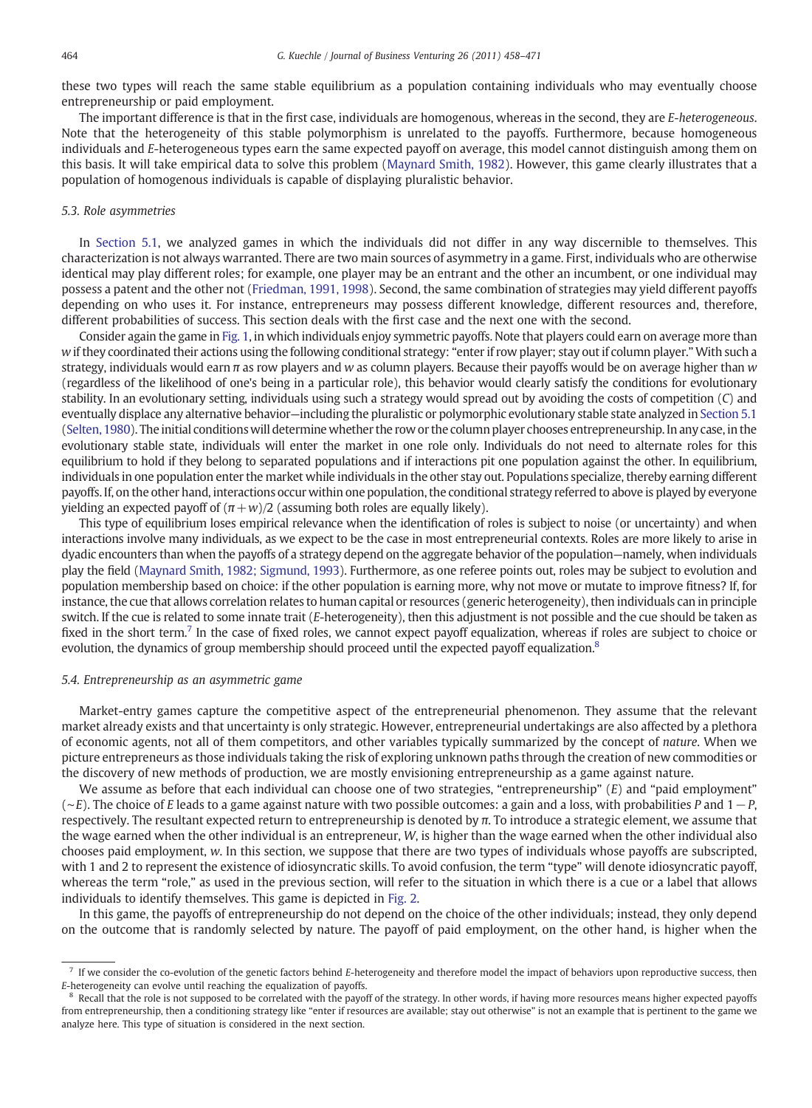<span id="page-6-0"></span>these two types will reach the same stable equilibrium as a population containing individuals who may eventually choose entrepreneurship or paid employment.

The important difference is that in the first case, individuals are homogenous, whereas in the second, they are E-heterogeneous. Note that the heterogeneity of this stable polymorphism is unrelated to the payoffs. Furthermore, because homogeneous individuals and E-heterogeneous types earn the same expected payoff on average, this model cannot distinguish among them on this basis. It will take empirical data to solve this problem [\(Maynard Smith, 1982](#page-12-0)). However, this game clearly illustrates that a population of homogenous individuals is capable of displaying pluralistic behavior.

#### 5.3. Role asymmetries

In [Section 5.1,](#page-4-0) we analyzed games in which the individuals did not differ in any way discernible to themselves. This characterization is not always warranted. There are two main sources of asymmetry in a game. First, individuals who are otherwise identical may play different roles; for example, one player may be an entrant and the other an incumbent, or one individual may possess a patent and the other not [\(Friedman, 1991, 1998](#page-12-0)). Second, the same combination of strategies may yield different payoffs depending on who uses it. For instance, entrepreneurs may possess different knowledge, different resources and, therefore, different probabilities of success. This section deals with the first case and the next one with the second.

Consider again the game in [Fig. 1,](#page-4-0) in which individuals enjoy symmetric payoffs. Note that players could earn on average more than w if they coordinated their actions using the following conditional strategy: "enter if row player; stay out if column player." With such a strategy, individuals would earn  $\pi$  as row players and w as column players. Because their payoffs would be on average higher than w (regardless of the likelihood of one's being in a particular role), this behavior would clearly satisfy the conditions for evolutionary stability. In an evolutionary setting, individuals using such a strategy would spread out by avoiding the costs of competition (C) and eventually displace any alternative behavior—including the pluralistic or polymorphic evolutionary stable state analyzed in [Section 5.1](#page-4-0) ([Selten, 1980](#page-13-0)). The initial conditions will determine whether the row or the column player chooses entrepreneurship. In any case, in the evolutionary stable state, individuals will enter the market in one role only. Individuals do not need to alternate roles for this equilibrium to hold if they belong to separated populations and if interactions pit one population against the other. In equilibrium, individuals in one population enter the market while individuals in the other stay out. Populations specialize, thereby earning different payoffs. If, on the other hand, interactions occur within one population, the conditional strategy referred to above is played by everyone yielding an expected payoff of  $(π + w)/2$  (assuming both roles are equally likely).

This type of equilibrium loses empirical relevance when the identification of roles is subject to noise (or uncertainty) and when interactions involve many individuals, as we expect to be the case in most entrepreneurial contexts. Roles are more likely to arise in dyadic encounters than when the payoffs of a strategy depend on the aggregate behavior of the population—namely, when individuals play the field [\(Maynard Smith, 1982; Sigmund, 1993](#page-12-0)). Furthermore, as one referee points out, roles may be subject to evolution and population membership based on choice: if the other population is earning more, why not move or mutate to improve fitness? If, for instance, the cue that allows correlation relates to human capital or resources (generic heterogeneity), then individuals can in principle switch. If the cue is related to some innate trait (E-heterogeneity), then this adjustment is not possible and the cue should be taken as fixed in the short term.<sup>7</sup> In the case of fixed roles, we cannot expect payoff equalization, whereas if roles are subject to choice or evolution, the dynamics of group membership should proceed until the expected payoff equalization.<sup>8</sup>

#### 5.4. Entrepreneurship as an asymmetric game

Market-entry games capture the competitive aspect of the entrepreneurial phenomenon. They assume that the relevant market already exists and that uncertainty is only strategic. However, entrepreneurial undertakings are also affected by a plethora of economic agents, not all of them competitors, and other variables typically summarized by the concept of nature. When we picture entrepreneurs as those individuals taking the risk of exploring unknown paths through the creation of new commodities or the discovery of new methods of production, we are mostly envisioning entrepreneurship as a game against nature.

We assume as before that each individual can choose one of two strategies, "entrepreneurship" (E) and "paid employment" (∼E). The choice of E leads to a game against nature with two possible outcomes: a gain and a loss, with probabilities P and 1−P, respectively. The resultant expected return to entrepreneurship is denoted by π. To introduce a strategic element, we assume that the wage earned when the other individual is an entrepreneur, W, is higher than the wage earned when the other individual also chooses paid employment, w. In this section, we suppose that there are two types of individuals whose payoffs are subscripted, with 1 and 2 to represent the existence of idiosyncratic skills. To avoid confusion, the term "type" will denote idiosyncratic payoff, whereas the term "role," as used in the previous section, will refer to the situation in which there is a cue or a label that allows individuals to identify themselves. This game is depicted in [Fig. 2](#page-7-0).

In this game, the payoffs of entrepreneurship do not depend on the choice of the other individuals; instead, they only depend on the outcome that is randomly selected by nature. The payoff of paid employment, on the other hand, is higher when the

 $^7$  If we consider the co-evolution of the genetic factors behind E-heterogeneity and therefore model the impact of behaviors upon reproductive success, then E-heterogeneity can evolve until reaching the equalization of payoffs.

<sup>&</sup>lt;sup>8</sup> Recall that the role is not supposed to be correlated with the payoff of the strategy. In other words, if having more resources means higher expected pavoffs from entrepreneurship, then a conditioning strategy like "enter if resources are available; stay out otherwise" is not an example that is pertinent to the game we analyze here. This type of situation is considered in the next section.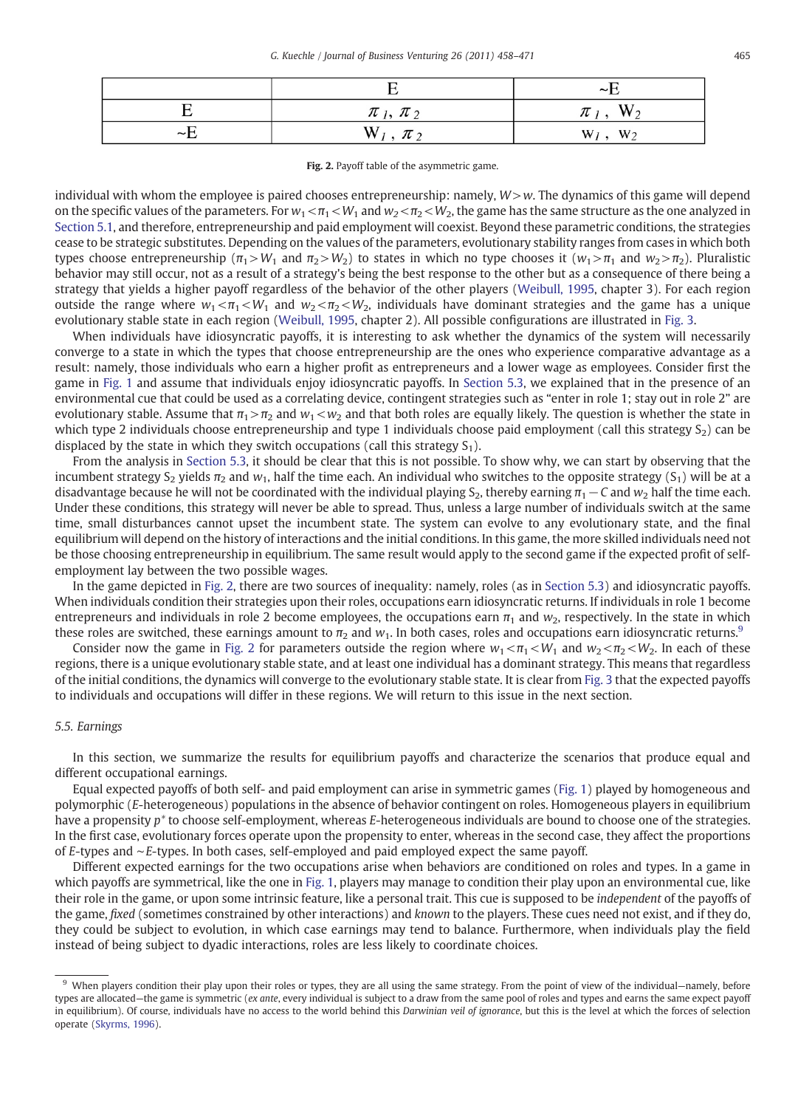<span id="page-7-0"></span>

|          |                   | $\sim$ F                 |
|----------|-------------------|--------------------------|
|          | $\pi_1$ , $\pi_2$ | $\pi_1$ , W <sub>2</sub> |
| $\sim$ F | $W_1$ , $\pi_2$   | $W_1$ , $W_2$            |

#### Fig. 2. Payoff table of the asymmetric game.

individual with whom the employee is paired chooses entrepreneurship: namely,  $W > w$ . The dynamics of this game will depend on the specific values of the parameters. For  $w_1 < \pi_1 < W_1$  and  $w_2 < \pi_2 < W_2$ , the game has the same structure as the one analyzed in [Section 5.1,](#page-4-0) and therefore, entrepreneurship and paid employment will coexist. Beyond these parametric conditions, the strategies cease to be strategic substitutes. Depending on the values of the parameters, evolutionary stability ranges from cases in which both types choose entrepreneurship (π<sub>1</sub>>W<sub>1</sub> and π<sub>2</sub>>W<sub>2</sub>) to states in which no type chooses it (w<sub>1</sub>>π<sub>1</sub> and w<sub>2</sub>>π<sub>2</sub>). Pluralistic behavior may still occur, not as a result of a strategy's being the best response to the other but as a consequence of there being a strategy that yields a higher payoff regardless of the behavior of the other players ([Weibull, 1995](#page-13-0), chapter 3). For each region outside the range where  $w_1 < \pi_1 < W_1$  and  $w_2 < \pi_2 < W_2$ , individuals have dominant strategies and the game has a unique evolutionary stable state in each region ([Weibull, 1995,](#page-13-0) chapter 2). All possible configurations are illustrated in [Fig. 3](#page-8-0).

When individuals have idiosyncratic payoffs, it is interesting to ask whether the dynamics of the system will necessarily converge to a state in which the types that choose entrepreneurship are the ones who experience comparative advantage as a result: namely, those individuals who earn a higher profit as entrepreneurs and a lower wage as employees. Consider first the game in [Fig. 1](#page-4-0) and assume that individuals enjoy idiosyncratic payoffs. In [Section 5.3,](#page-6-0) we explained that in the presence of an environmental cue that could be used as a correlating device, contingent strategies such as "enter in role 1; stay out in role 2" are evolutionary stable. Assume that  $\pi_1 > \pi_2$  and  $w_1 < w_2$  and that both roles are equally likely. The question is whether the state in which type 2 individuals choose entrepreneurship and type 1 individuals choose paid employment (call this strategy  $S_2$ ) can be displaced by the state in which they switch occupations (call this strategy  $S_1$ ).

From the analysis in [Section 5.3](#page-6-0), it should be clear that this is not possible. To show why, we can start by observing that the incumbent strategy  $S_2$  yields  $\pi_2$  and  $w_1$ , half the time each. An individual who switches to the opposite strategy ( $S_1$ ) will be at a disadvantage because he will not be coordinated with the individual playing S<sub>2</sub>, thereby earning  $\pi_1$  – C and w<sub>2</sub> half the time each. Under these conditions, this strategy will never be able to spread. Thus, unless a large number of individuals switch at the same time, small disturbances cannot upset the incumbent state. The system can evolve to any evolutionary state, and the final equilibrium will depend on the history of interactions and the initial conditions. In this game, the more skilled individuals need not be those choosing entrepreneurship in equilibrium. The same result would apply to the second game if the expected profit of selfemployment lay between the two possible wages.

In the game depicted in Fig. 2, there are two sources of inequality: namely, roles (as in [Section 5.3](#page-6-0)) and idiosyncratic payoffs. When individuals condition their strategies upon their roles, occupations earn idiosyncratic returns. If individuals in role 1 become entrepreneurs and individuals in role 2 become employees, the occupations earn  $\pi_1$  and  $w_2$ , respectively. In the state in which these roles are switched, these earnings amount to  $\pi_2$  and  $w_1$ . In both cases, roles and occupations earn idiosyncratic returns.<sup>9</sup>

Consider now the game in Fig. 2 for parameters outside the region where  $w_1 < \pi_1 < W_1$  and  $w_2 < \pi_2 < W_2$ . In each of these regions, there is a unique evolutionary stable state, and at least one individual has a dominant strategy. This means that regardless of the initial conditions, the dynamics will converge to the evolutionary stable state. It is clear from [Fig. 3](#page-8-0) that the expected payoffs to individuals and occupations will differ in these regions. We will return to this issue in the next section.

#### 5.5. Earnings

In this section, we summarize the results for equilibrium payoffs and characterize the scenarios that produce equal and different occupational earnings.

Equal expected payoffs of both self- and paid employment can arise in symmetric games ([Fig. 1\)](#page-4-0) played by homogeneous and polymorphic (E-heterogeneous) populations in the absence of behavior contingent on roles. Homogeneous players in equilibrium have a propensity  $p^*$  to choose self-employment, whereas E-heterogeneous individuals are bound to choose one of the strategies. In the first case, evolutionary forces operate upon the propensity to enter, whereas in the second case, they affect the proportions of E-types and ∼E-types. In both cases, self-employed and paid employed expect the same payoff.

Different expected earnings for the two occupations arise when behaviors are conditioned on roles and types. In a game in which payoffs are symmetrical, like the one in [Fig. 1,](#page-4-0) players may manage to condition their play upon an environmental cue, like their role in the game, or upon some intrinsic feature, like a personal trait. This cue is supposed to be independent of the payoffs of the game, fixed (sometimes constrained by other interactions) and known to the players. These cues need not exist, and if they do, they could be subject to evolution, in which case earnings may tend to balance. Furthermore, when individuals play the field instead of being subject to dyadic interactions, roles are less likely to coordinate choices.

<sup>&</sup>lt;sup>9</sup> When players condition their play upon their roles or types, they are all using the same strategy. From the point of view of the individual–namely, before types are allocated—the game is symmetric (ex ante, every individual is subject to a draw from the same pool of roles and types and earns the same expect payoff in equilibrium). Of course, individuals have no access to the world behind this Darwinian veil of ignorance, but this is the level at which the forces of selection operate [\(Skyrms, 1996\)](#page-13-0).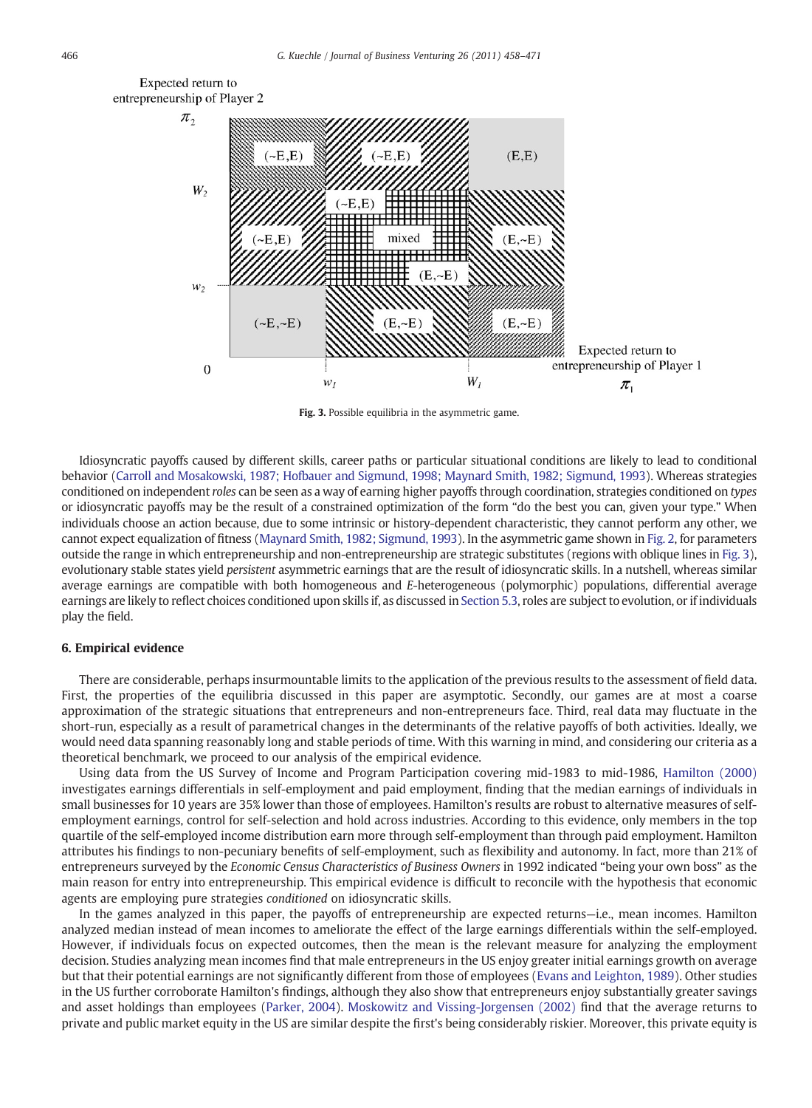<span id="page-8-0"></span>

Fig. 3. Possible equilibria in the asymmetric game.

Idiosyncratic payoffs caused by different skills, career paths or particular situational conditions are likely to lead to conditional behavior ([Carroll and Mosakowski, 1987; Hofbauer and Sigmund, 1998; Maynard Smith, 1982; Sigmund, 1993\)](#page-12-0). Whereas strategies conditioned on independent roles can be seen as a way of earning higher payoffs through coordination, strategies conditioned on types or idiosyncratic payoffs may be the result of a constrained optimization of the form "do the best you can, given your type." When individuals choose an action because, due to some intrinsic or history-dependent characteristic, they cannot perform any other, we cannot expect equalization of fitness ([Maynard Smith, 1982; Sigmund, 1993](#page-12-0)). In the asymmetric game shown in [Fig. 2](#page-7-0), for parameters outside the range in which entrepreneurship and non-entrepreneurship are strategic substitutes (regions with oblique lines in Fig. 3), evolutionary stable states yield persistent asymmetric earnings that are the result of idiosyncratic skills. In a nutshell, whereas similar average earnings are compatible with both homogeneous and E-heterogeneous (polymorphic) populations, differential average earnings are likely to reflect choices conditioned upon skills if, as discussed in [Section 5.3,](#page-6-0) roles are subject to evolution, or if individuals play the field.

#### 6. Empirical evidence

There are considerable, perhaps insurmountable limits to the application of the previous results to the assessment of field data. First, the properties of the equilibria discussed in this paper are asymptotic. Secondly, our games are at most a coarse approximation of the strategic situations that entrepreneurs and non-entrepreneurs face. Third, real data may fluctuate in the short-run, especially as a result of parametrical changes in the determinants of the relative payoffs of both activities. Ideally, we would need data spanning reasonably long and stable periods of time. With this warning in mind, and considering our criteria as a theoretical benchmark, we proceed to our analysis of the empirical evidence.

Using data from the US Survey of Income and Program Participation covering mid-1983 to mid-1986, [Hamilton \(2000\)](#page-12-0) investigates earnings differentials in self-employment and paid employment, finding that the median earnings of individuals in small businesses for 10 years are 35% lower than those of employees. Hamilton's results are robust to alternative measures of selfemployment earnings, control for self-selection and hold across industries. According to this evidence, only members in the top quartile of the self-employed income distribution earn more through self-employment than through paid employment. Hamilton attributes his findings to non-pecuniary benefits of self-employment, such as flexibility and autonomy. In fact, more than 21% of entrepreneurs surveyed by the Economic Census Characteristics of Business Owners in 1992 indicated "being your own boss" as the main reason for entry into entrepreneurship. This empirical evidence is difficult to reconcile with the hypothesis that economic agents are employing pure strategies conditioned on idiosyncratic skills.

In the games analyzed in this paper, the payoffs of entrepreneurship are expected returns—i.e., mean incomes. Hamilton analyzed median instead of mean incomes to ameliorate the effect of the large earnings differentials within the self-employed. However, if individuals focus on expected outcomes, then the mean is the relevant measure for analyzing the employment decision. Studies analyzing mean incomes find that male entrepreneurs in the US enjoy greater initial earnings growth on average but that their potential earnings are not significantly different from those of employees ([Evans and Leighton, 1989\)](#page-12-0). Other studies in the US further corroborate Hamilton's findings, although they also show that entrepreneurs enjoy substantially greater savings and asset holdings than employees [\(Parker, 2004\)](#page-13-0). [Moskowitz and Vissing-Jorgensen \(2002\)](#page-12-0) find that the average returns to private and public market equity in the US are similar despite the first's being considerably riskier. Moreover, this private equity is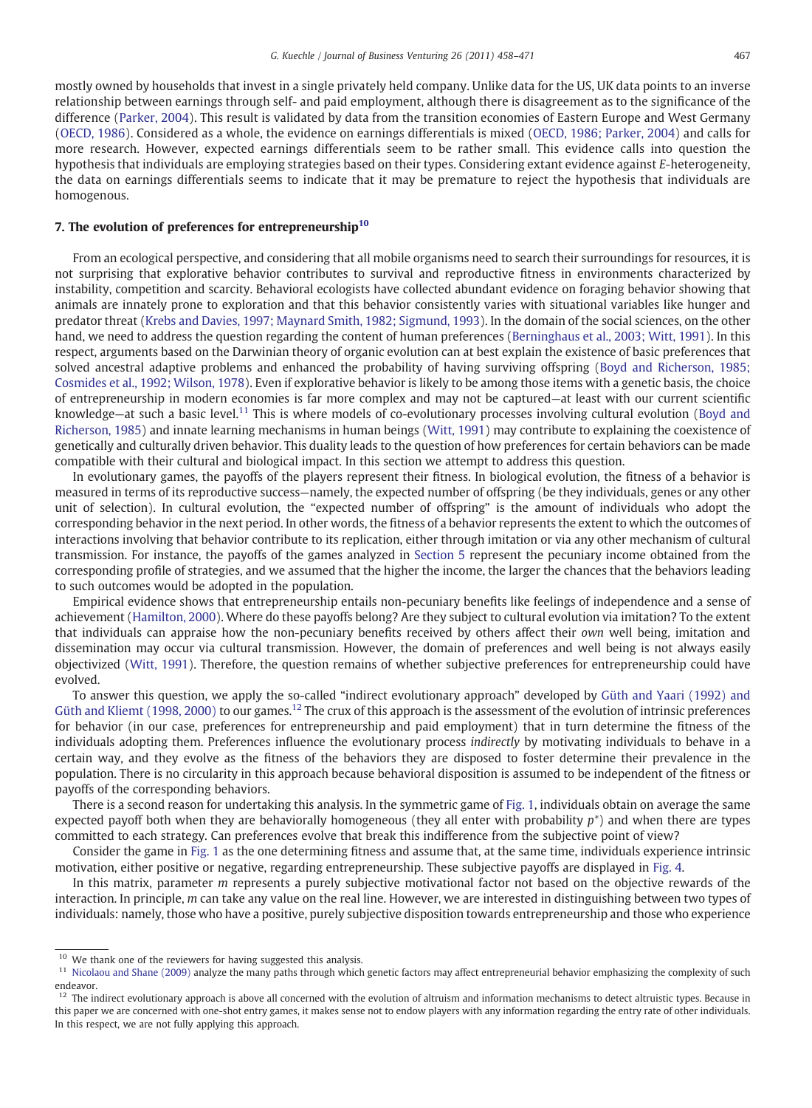mostly owned by households that invest in a single privately held company. Unlike data for the US, UK data points to an inverse relationship between earnings through self- and paid employment, although there is disagreement as to the significance of the difference ([Parker, 2004\)](#page-13-0). This result is validated by data from the transition economies of Eastern Europe and West Germany [\(OECD, 1986\)](#page-13-0). Considered as a whole, the evidence on earnings differentials is mixed [\(OECD, 1986; Parker, 2004](#page-13-0)) and calls for more research. However, expected earnings differentials seem to be rather small. This evidence calls into question the hypothesis that individuals are employing strategies based on their types. Considering extant evidence against E-heterogeneity, the data on earnings differentials seems to indicate that it may be premature to reject the hypothesis that individuals are homogenous.

### 7. The evolution of preferences for entrepreneurship<sup>10</sup>

From an ecological perspective, and considering that all mobile organisms need to search their surroundings for resources, it is not surprising that explorative behavior contributes to survival and reproductive fitness in environments characterized by instability, competition and scarcity. Behavioral ecologists have collected abundant evidence on foraging behavior showing that animals are innately prone to exploration and that this behavior consistently varies with situational variables like hunger and predator threat [\(Krebs and Davies, 1997; Maynard Smith, 1982; Sigmund, 1993\)](#page-12-0). In the domain of the social sciences, on the other hand, we need to address the question regarding the content of human preferences [\(Berninghaus et al., 2003; Witt, 1991](#page-12-0)). In this respect, arguments based on the Darwinian theory of organic evolution can at best explain the existence of basic preferences that solved ancestral adaptive problems and enhanced the probability of having surviving offspring [\(Boyd and Richerson, 1985;](#page-12-0) [Cosmides et al., 1992; Wilson, 1978\)](#page-12-0). Even if explorative behavior is likely to be among those items with a genetic basis, the choice of entrepreneurship in modern economies is far more complex and may not be captured—at least with our current scientific knowledge—at such a basic level.<sup>11</sup> This is where models of co-evolutionary processes involving cultural evolution [\(Boyd and](#page-12-0) [Richerson, 1985\)](#page-12-0) and innate learning mechanisms in human beings ([Witt, 1991](#page-13-0)) may contribute to explaining the coexistence of genetically and culturally driven behavior. This duality leads to the question of how preferences for certain behaviors can be made compatible with their cultural and biological impact. In this section we attempt to address this question.

In evolutionary games, the payoffs of the players represent their fitness. In biological evolution, the fitness of a behavior is measured in terms of its reproductive success—namely, the expected number of offspring (be they individuals, genes or any other unit of selection). In cultural evolution, the "expected number of offspring" is the amount of individuals who adopt the corresponding behavior in the next period. In other words, the fitness of a behavior represents the extent to which the outcomes of interactions involving that behavior contribute to its replication, either through imitation or via any other mechanism of cultural transmission. For instance, the payoffs of the games analyzed in [Section 5](#page-4-0) represent the pecuniary income obtained from the corresponding profile of strategies, and we assumed that the higher the income, the larger the chances that the behaviors leading to such outcomes would be adopted in the population.

Empirical evidence shows that entrepreneurship entails non-pecuniary benefits like feelings of independence and a sense of achievement ([Hamilton, 2000\)](#page-12-0). Where do these payoffs belong? Are they subject to cultural evolution via imitation? To the extent that individuals can appraise how the non-pecuniary benefits received by others affect their own well being, imitation and dissemination may occur via cultural transmission. However, the domain of preferences and well being is not always easily objectivized [\(Witt, 1991](#page-13-0)). Therefore, the question remains of whether subjective preferences for entrepreneurship could have evolved.

To answer this question, we apply the so-called "indirect evolutionary approach" developed by [Güth and Yaari \(1992\) and](#page-12-0) [Güth and Kliemt \(1998, 2000\)](#page-12-0) to our games.<sup>12</sup> The crux of this approach is the assessment of the evolution of intrinsic preferences for behavior (in our case, preferences for entrepreneurship and paid employment) that in turn determine the fitness of the individuals adopting them. Preferences influence the evolutionary process indirectly by motivating individuals to behave in a certain way, and they evolve as the fitness of the behaviors they are disposed to foster determine their prevalence in the population. There is no circularity in this approach because behavioral disposition is assumed to be independent of the fitness or payoffs of the corresponding behaviors.

There is a second reason for undertaking this analysis. In the symmetric game of [Fig. 1](#page-4-0), individuals obtain on average the same expected payoff both when they are behaviorally homogeneous (they all enter with probability  $p^*$ ) and when there are types committed to each strategy. Can preferences evolve that break this indifference from the subjective point of view?

Consider the game in [Fig. 1](#page-4-0) as the one determining fitness and assume that, at the same time, individuals experience intrinsic motivation, either positive or negative, regarding entrepreneurship. These subjective payoffs are displayed in [Fig. 4](#page-10-0).

In this matrix, parameter m represents a purely subjective motivational factor not based on the objective rewards of the interaction. In principle, m can take any value on the real line. However, we are interested in distinguishing between two types of individuals: namely, those who have a positive, purely subjective disposition towards entrepreneurship and those who experience

<sup>&</sup>lt;sup>10</sup> We thank one of the reviewers for having suggested this analysis.

<sup>&</sup>lt;sup>11</sup> [Nicolaou and Shane \(2009\)](#page-12-0) analyze the many paths through which genetic factors may affect entrepreneurial behavior emphasizing the complexity of such endeavor.

 $12$  The indirect evolutionary approach is above all concerned with the evolution of altruism and information mechanisms to detect altruistic types. Because in this paper we are concerned with one-shot entry games, it makes sense not to endow players with any information regarding the entry rate of other individuals. In this respect, we are not fully applying this approach.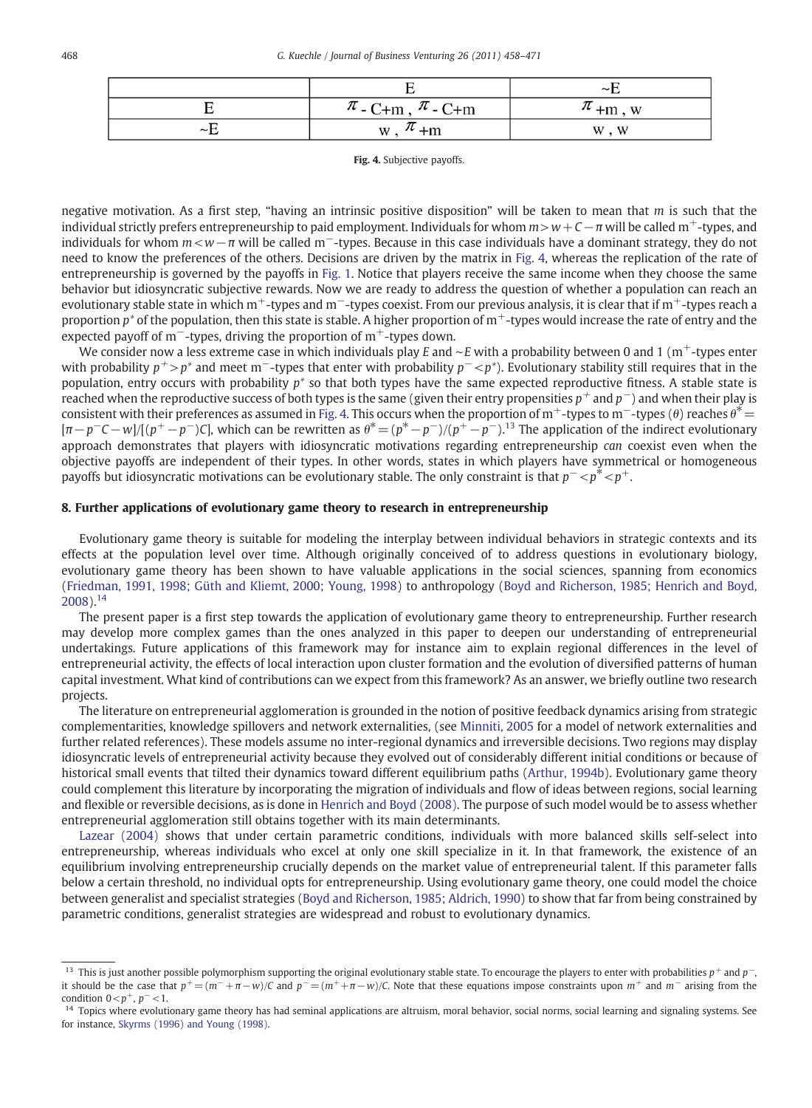<span id="page-10-0"></span>

|    |                          | $\sim$ H.   |
|----|--------------------------|-------------|
|    | $\pi$ - C+m, $\pi$ - C+m | $\mu$ +m, w |
| ~E | $\mu$ +m<br>W            | w, w        |

Fig. 4. Subjective payoffs.

negative motivation. As a first step, "having an intrinsic positive disposition" will be taken to mean that  $m$  is such that the individual strictly prefers entrepreneurship to paid employment. Individuals for whom  $m>w+C-\pi$  will be called m<sup>+</sup>-types, and individuals for whom  $m < w - \pi$  will be called m<sup>−</sup>-types. Because in this case individuals have a dominant strategy, they do not need to know the preferences of the others. Decisions are driven by the matrix in Fig. 4, whereas the replication of the rate of entrepreneurship is governed by the payoffs in [Fig. 1](#page-4-0). Notice that players receive the same income when they choose the same behavior but idiosyncratic subjective rewards. Now we are ready to address the question of whether a population can reach an evolutionary stable state in which m<sup>+</sup>-types and m<sup>--</sup>types coexist. From our previous analysis, it is clear that if m<sup>+</sup>-types reach a proportion  $p^*$  of the population, then this state is stable. A higher proportion of  $m^+$ -types would increase the rate of entry and the expected payoff of m<sup>--</sup>types, driving the proportion of m<sup>+</sup>-types down.

We consider now a less extreme case in which individuals play E and ∼E with a probability between 0 and 1 (m<sup>+</sup>-types enter with probability  $p^+$  >  $p^*$  and meet m<sup>-</sup>-types that enter with probability  $p^-$  <  $p^*$ ). Evolutionary stability still requires that in the population, entry occurs with probability  $p^*$  so that both types have the same expected reproductive fitness. A stable state is reached when the reproductive success of both types is the same (given their entry propensities  $p^+$  and  $p^-$ ) and when their play is consistent with their preferences as assumed in Fig. 4. This occurs when the proportion of  $m^+$ -types to  $m^-$ -types ( $\theta$ ) reaches  $\theta^*$  =  $[\pi-p^-C-w]/[(p^+-p^-)C]$ , which can be rewritten as  $\theta^*=(p^*-p^-)/(p^+-p^-)$ .<sup>13</sup> The application of the indirect evolutionary approach demonstrates that players with idiosyncratic motivations regarding entrepreneurship can coexist even when the objective payoffs are independent of their types. In other words, states in which players have symmetrical or homogeneous payoffs but idiosyncratic motivations can be evolutionary stable. The only constraint is that  $p^-$  <  $p^+$  <  $p^+$ .

#### 8. Further applications of evolutionary game theory to research in entrepreneurship

Evolutionary game theory is suitable for modeling the interplay between individual behaviors in strategic contexts and its effects at the population level over time. Although originally conceived of to address questions in evolutionary biology, evolutionary game theory has been shown to have valuable applications in the social sciences, spanning from economics ([Friedman, 1991, 1998; Güth and Kliemt, 2000; Young, 1998](#page-12-0)) to anthropology ([Boyd and Richerson, 1985; Henrich and Boyd,](#page-12-0) [2008](#page-12-0)).<sup>14</sup>

The present paper is a first step towards the application of evolutionary game theory to entrepreneurship. Further research may develop more complex games than the ones analyzed in this paper to deepen our understanding of entrepreneurial undertakings. Future applications of this framework may for instance aim to explain regional differences in the level of entrepreneurial activity, the effects of local interaction upon cluster formation and the evolution of diversified patterns of human capital investment. What kind of contributions can we expect from this framework? As an answer, we briefly outline two research projects.

The literature on entrepreneurial agglomeration is grounded in the notion of positive feedback dynamics arising from strategic complementarities, knowledge spillovers and network externalities, (see [Minniti, 2005](#page-12-0) for a model of network externalities and further related references). These models assume no inter-regional dynamics and irreversible decisions. Two regions may display idiosyncratic levels of entrepreneurial activity because they evolved out of considerably different initial conditions or because of historical small events that tilted their dynamics toward different equilibrium paths ([Arthur, 1994b](#page-12-0)). Evolutionary game theory could complement this literature by incorporating the migration of individuals and flow of ideas between regions, social learning and flexible or reversible decisions, as is done in [Henrich and Boyd \(2008\)](#page-12-0). The purpose of such model would be to assess whether entrepreneurial agglomeration still obtains together with its main determinants.

[Lazear \(2004\)](#page-12-0) shows that under certain parametric conditions, individuals with more balanced skills self-select into entrepreneurship, whereas individuals who excel at only one skill specialize in it. In that framework, the existence of an equilibrium involving entrepreneurship crucially depends on the market value of entrepreneurial talent. If this parameter falls below a certain threshold, no individual opts for entrepreneurship. Using evolutionary game theory, one could model the choice between generalist and specialist strategies [\(Boyd and Richerson, 1985; Aldrich, 1990\)](#page-12-0) to show that far from being constrained by parametric conditions, generalist strategies are widespread and robust to evolutionary dynamics.

<sup>&</sup>lt;sup>13</sup> This is just another possible polymorphism supporting the original evolutionary stable state. To encourage the players to enter with probabilities  $p^+$  and  $p^-$ , it should be the case that  $p^+ = (m^- + \pi - w)/C$  and  $p^- = (m^+ + \pi - w)/C$ . Note that these equations impose constraints upon  $m^+$  and  $m^-$  arising from the condition  $0 < p^+, p^- < 1$ .

<sup>&</sup>lt;sup>14</sup> Topics where evolutionary game theory has had seminal applications are altruism, moral behavior, social norms, social learning and signaling systems. See for instance, [Skyrms \(1996\) and Young \(1998\)](#page-13-0).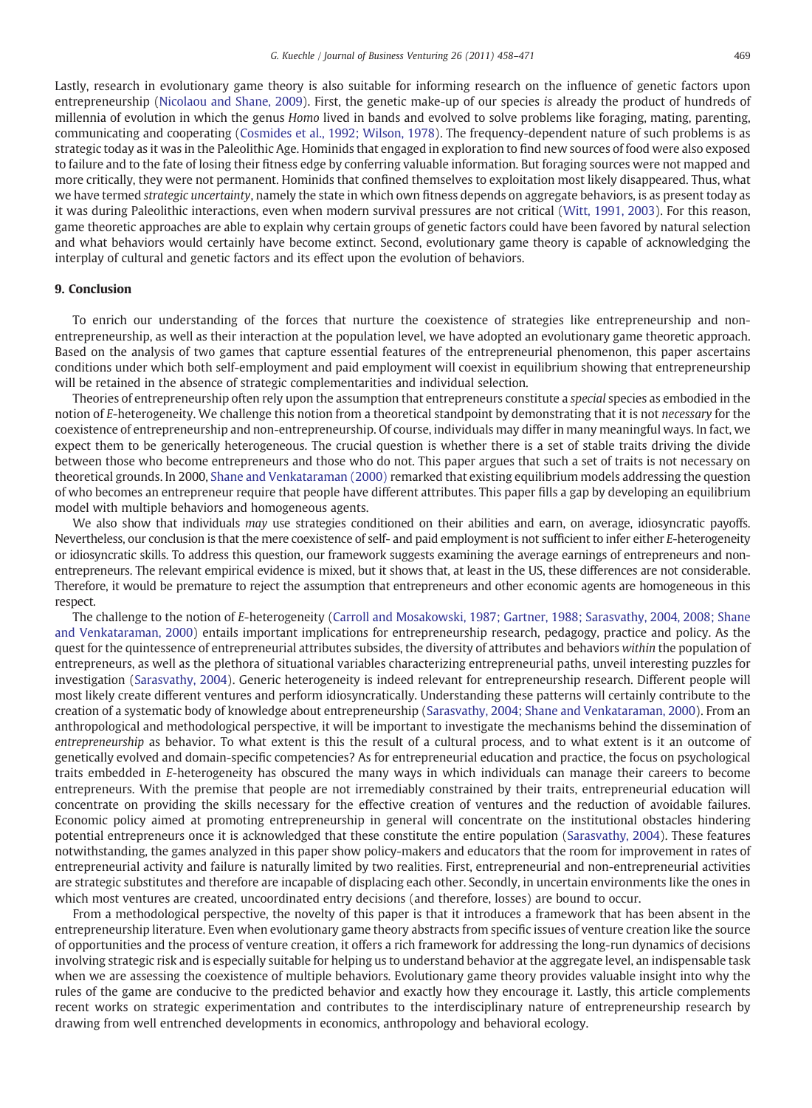Lastly, research in evolutionary game theory is also suitable for informing research on the influence of genetic factors upon entrepreneurship ([Nicolaou and Shane, 2009\)](#page-12-0). First, the genetic make-up of our species is already the product of hundreds of millennia of evolution in which the genus Homo lived in bands and evolved to solve problems like foraging, mating, parenting, communicating and cooperating [\(Cosmides et al., 1992; Wilson, 1978](#page-12-0)). The frequency-dependent nature of such problems is as strategic today as it was in the Paleolithic Age. Hominids that engaged in exploration to find new sources of food were also exposed to failure and to the fate of losing their fitness edge by conferring valuable information. But foraging sources were not mapped and more critically, they were not permanent. Hominids that confined themselves to exploitation most likely disappeared. Thus, what we have termed strategic uncertainty, namely the state in which own fitness depends on aggregate behaviors, is as present today as it was during Paleolithic interactions, even when modern survival pressures are not critical ([Witt, 1991, 2003](#page-13-0)). For this reason, game theoretic approaches are able to explain why certain groups of genetic factors could have been favored by natural selection and what behaviors would certainly have become extinct. Second, evolutionary game theory is capable of acknowledging the interplay of cultural and genetic factors and its effect upon the evolution of behaviors.

#### 9. Conclusion

To enrich our understanding of the forces that nurture the coexistence of strategies like entrepreneurship and nonentrepreneurship, as well as their interaction at the population level, we have adopted an evolutionary game theoretic approach. Based on the analysis of two games that capture essential features of the entrepreneurial phenomenon, this paper ascertains conditions under which both self-employment and paid employment will coexist in equilibrium showing that entrepreneurship will be retained in the absence of strategic complementarities and individual selection.

Theories of entrepreneurship often rely upon the assumption that entrepreneurs constitute a special species as embodied in the notion of E-heterogeneity. We challenge this notion from a theoretical standpoint by demonstrating that it is not necessary for the coexistence of entrepreneurship and non-entrepreneurship. Of course, individuals may differ in many meaningful ways. In fact, we expect them to be generically heterogeneous. The crucial question is whether there is a set of stable traits driving the divide between those who become entrepreneurs and those who do not. This paper argues that such a set of traits is not necessary on theoretical grounds. In 2000, [Shane and Venkataraman \(2000\)](#page-13-0) remarked that existing equilibrium models addressing the question of who becomes an entrepreneur require that people have different attributes. This paper fills a gap by developing an equilibrium model with multiple behaviors and homogeneous agents.

We also show that individuals may use strategies conditioned on their abilities and earn, on average, idiosyncratic payoffs. Nevertheless, our conclusion is that the mere coexistence of self- and paid employment is not sufficient to infer either E-heterogeneity or idiosyncratic skills. To address this question, our framework suggests examining the average earnings of entrepreneurs and nonentrepreneurs. The relevant empirical evidence is mixed, but it shows that, at least in the US, these differences are not considerable. Therefore, it would be premature to reject the assumption that entrepreneurs and other economic agents are homogeneous in this respect.

The challenge to the notion of E-heterogeneity [\(Carroll and Mosakowski, 1987; Gartner, 1988; Sarasvathy, 2004, 2008; Shane](#page-12-0) [and Venkataraman, 2000](#page-12-0)) entails important implications for entrepreneurship research, pedagogy, practice and policy. As the quest for the quintessence of entrepreneurial attributes subsides, the diversity of attributes and behaviors within the population of entrepreneurs, as well as the plethora of situational variables characterizing entrepreneurial paths, unveil interesting puzzles for investigation [\(Sarasvathy, 2004](#page-13-0)). Generic heterogeneity is indeed relevant for entrepreneurship research. Different people will most likely create different ventures and perform idiosyncratically. Understanding these patterns will certainly contribute to the creation of a systematic body of knowledge about entrepreneurship [\(Sarasvathy, 2004; Shane and Venkataraman, 2000](#page-13-0)). From an anthropological and methodological perspective, it will be important to investigate the mechanisms behind the dissemination of entrepreneurship as behavior. To what extent is this the result of a cultural process, and to what extent is it an outcome of genetically evolved and domain-specific competencies? As for entrepreneurial education and practice, the focus on psychological traits embedded in E-heterogeneity has obscured the many ways in which individuals can manage their careers to become entrepreneurs. With the premise that people are not irremediably constrained by their traits, entrepreneurial education will concentrate on providing the skills necessary for the effective creation of ventures and the reduction of avoidable failures. Economic policy aimed at promoting entrepreneurship in general will concentrate on the institutional obstacles hindering potential entrepreneurs once it is acknowledged that these constitute the entire population [\(Sarasvathy, 2004](#page-13-0)). These features notwithstanding, the games analyzed in this paper show policy-makers and educators that the room for improvement in rates of entrepreneurial activity and failure is naturally limited by two realities. First, entrepreneurial and non-entrepreneurial activities are strategic substitutes and therefore are incapable of displacing each other. Secondly, in uncertain environments like the ones in which most ventures are created, uncoordinated entry decisions (and therefore, losses) are bound to occur.

From a methodological perspective, the novelty of this paper is that it introduces a framework that has been absent in the entrepreneurship literature. Even when evolutionary game theory abstracts from specific issues of venture creation like the source of opportunities and the process of venture creation, it offers a rich framework for addressing the long-run dynamics of decisions involving strategic risk and is especially suitable for helping us to understand behavior at the aggregate level, an indispensable task when we are assessing the coexistence of multiple behaviors. Evolutionary game theory provides valuable insight into why the rules of the game are conducive to the predicted behavior and exactly how they encourage it. Lastly, this article complements recent works on strategic experimentation and contributes to the interdisciplinary nature of entrepreneurship research by drawing from well entrenched developments in economics, anthropology and behavioral ecology.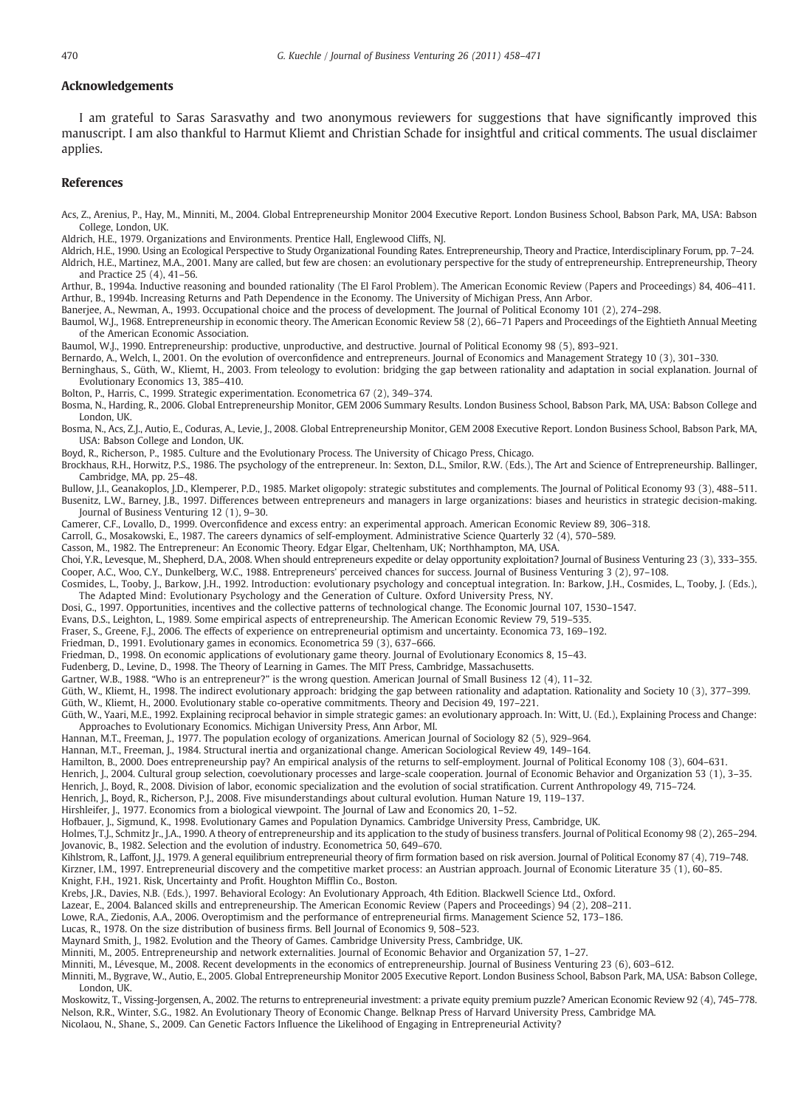#### <span id="page-12-0"></span>Acknowledgements

I am grateful to Saras Sarasvathy and two anonymous reviewers for suggestions that have significantly improved this manuscript. I am also thankful to Harmut Kliemt and Christian Schade for insightful and critical comments. The usual disclaimer applies.

#### References

Acs, Z., Arenius, P., Hay, M., Minniti, M., 2004. Global Entrepreneurship Monitor 2004 Executive Report. London Business School, Babson Park, MA, USA: Babson College, London, UK.

Aldrich, H.E., 1979. Organizations and Environments. Prentice Hall, Englewood Cliffs, NJ.

Aldrich, H.E., 1990. Using an Ecological Perspective to Study Organizational Founding Rates. Entrepreneurship, Theory and Practice, Interdisciplinary Forum, pp. 7–24. Aldrich, H.E., Martinez, M.A., 2001. Many are called, but few are chosen: an evolutionary perspective for the study of entrepreneurship. Entrepreneurship, Theory and Practice 25 (4), 41–56.

Arthur, B., 1994a. Inductive reasoning and bounded rationality (The El Farol Problem). The American Economic Review (Papers and Proceedings) 84, 406–411. Arthur, B., 1994b. Increasing Returns and Path Dependence in the Economy. The University of Michigan Press, Ann Arbor.

Banerjee, A., Newman, A., 1993. Occupational choice and the process of development. The Journal of Political Economy 101 (2), 274–298.

Baumol, W.J., 1968. Entrepreneurship in economic theory. The American Economic Review 58 (2), 66–71 Papers and Proceedings of the Eightieth Annual Meeting of the American Economic Association.

Baumol, W.J., 1990. Entrepreneurship: productive, unproductive, and destructive. Journal of Political Economy 98 (5), 893–921.

Bernardo, A., Welch, I., 2001. On the evolution of overconfidence and entrepreneurs. Journal of Economics and Management Strategy 10 (3), 301–330.

Berninghaus, S., Güth, W., Kliemt, H., 2003. From teleology to evolution: bridging the gap between rationality and adaptation in social explanation. Journal of Evolutionary Economics 13, 385–410.

Bolton, P., Harris, C., 1999. Strategic experimentation. Econometrica 67 (2), 349–374.

Bosma, N., Harding, R., 2006. Global Entrepreneurship Monitor, GEM 2006 Summary Results. London Business School, Babson Park, MA, USA: Babson College and London, UK.

Bosma, N., Acs, Z.J., Autio, E., Coduras, A., Levie, J., 2008. Global Entrepreneurship Monitor, GEM 2008 Executive Report. London Business School, Babson Park, MA, USA: Babson College and London, UK.

Boyd, R., Richerson, P., 1985. Culture and the Evolutionary Process. The University of Chicago Press, Chicago.

Brockhaus, R.H., Horwitz, P.S., 1986. The psychology of the entrepreneur. In: Sexton, D.L., Smilor, R.W. (Eds.), The Art and Science of Entrepreneurship. Ballinger, Cambridge, MA, pp. 25–48.

Bullow, J.I., Geanakoplos, J.D., Klemperer, P.D., 1985. Market oligopoly: strategic substitutes and complements. The Journal of Political Economy 93 (3), 488–511. Busenitz, L.W., Barney, J.B., 1997. Differences between entrepreneurs and managers in large organizations: biases and heuristics in strategic decision-making. Journal of Business Venturing 12 (1), 9–30.

Camerer, C.F., Lovallo, D., 1999. Overconfidence and excess entry: an experimental approach. American Economic Review 89, 306–318.

Carroll, G., Mosakowski, E., 1987. The careers dynamics of self-employment. Administrative Science Quarterly 32 (4), 570–589.

Casson, M., 1982. The Entrepreneur: An Economic Theory. Edgar Elgar, Cheltenham, UK; Northhampton, MA, USA.

Choi, Y.R., Levesque, M., Shepherd, D.A., 2008. When should entrepreneurs expedite or delay opportunity exploitation? Journal of Business Venturing 23 (3), 333–355. Cooper, A.C., Woo, C.Y., Dunkelberg, W.C., 1988. Entrepreneurs' perceived chances for success. Journal of Business Venturing 3 (2), 97–108.

Cosmides, L., Tooby, J., Barkow, J.H., 1992. Introduction: evolutionary psychology and conceptual integration. In: Barkow, J.H., Cosmides, L., Tooby, J. (Eds.), The Adapted Mind: Evolutionary Psychology and the Generation of Culture. Oxford University Press, NY.

Dosi, G., 1997. Opportunities, incentives and the collective patterns of technological change. The Economic Journal 107, 1530–1547.

Evans, D.S., Leighton, L., 1989. Some empirical aspects of entrepreneurship. The American Economic Review 79, 519–535.

Fraser, S., Greene, F.J., 2006. The effects of experience on entrepreneurial optimism and uncertainty. Economica 73, 169–192.

Friedman, D., 1991. Evolutionary games in economics. Econometrica 59 (3), 637–666.

Friedman, D., 1998. On economic applications of evolutionary game theory. Journal of Evolutionary Economics 8, 15–43.

Fudenberg, D., Levine, D., 1998. The Theory of Learning in Games. The MIT Press, Cambridge, Massachusetts.

Gartner, W.B., 1988. "Who is an entrepreneur?" is the wrong question. American Journal of Small Business 12 (4), 11–32.

Güth, W., Kliemt, H., 1998. The indirect evolutionary approach: bridging the gap between rationality and adaptation. Rationality and Society 10 (3), 377–399. Güth, W., Kliemt, H., 2000. Evolutionary stable co-operative commitments. Theory and Decision 49, 197–221.

Güth, W., Yaari, M.E., 1992. Explaining reciprocal behavior in simple strategic games: an evolutionary approach. In: Witt, U. (Ed.), Explaining Process and Change: Approaches to Evolutionary Economics. Michigan University Press, Ann Arbor, MI.

Hannan, M.T., Freeman, J., 1977. The population ecology of organizations. American Journal of Sociology 82 (5), 929–964.

Hannan, M.T., Freeman, J., 1984. Structural inertia and organizational change. American Sociological Review 49, 149–164.

Hamilton, B., 2000. Does entrepreneurship pay? An empirical analysis of the returns to self-employment. Journal of Political Economy 108 (3), 604–631.

Henrich, J., 2004. Cultural group selection, coevolutionary processes and large-scale cooperation. Journal of Economic Behavior and Organization 53 (1), 3-35.

Henrich, J., Boyd, R., 2008. Division of labor, economic specialization and the evolution of social stratification. Current Anthropology 49, 715–724.

Henrich, J., Boyd, R., Richerson, P.J., 2008. Five misunderstandings about cultural evolution. Human Nature 19, 119–137.

Hirshleifer, J., 1977. Economics from a biological viewpoint. The Journal of Law and Economics 20, 1-52.

Hofbauer, J., Sigmund, K., 1998. Evolutionary Games and Population Dynamics. Cambridge University Press, Cambridge, UK.

Holmes, T.J., Schmitz Jr., J.A., 1990. A theory of entrepreneurship and its application to the study of business transfers. Journal of Political Economy 98 (2), 265–294. Jovanovic, B., 1982. Selection and the evolution of industry. Econometrica 50, 649–670.

Kihlstrom, R., Laffont, J.J., 1979. A general equilibrium entrepreneurial theory of firm formation based on risk aversion. Journal of Political Economy 87 (4), 719–748. Kirzner, I.M., 1997. Entrepreneurial discovery and the competitive market process: an Austrian approach. Journal of Economic Literature 35 (1), 60–85.

Knight, F.H., 1921. Risk, Uncertainty and Profit. Houghton Mifflin Co., Boston.

Krebs, J.R., Davies, N.B. (Eds.), 1997. Behavioral Ecology: An Evolutionary Approach, 4th Edition. Blackwell Science Ltd., Oxford.

Lazear, E., 2004. Balanced skills and entrepreneurship. The American Economic Review (Papers and Proceedings) 94 (2), 208–211.

Lowe, R.A., Ziedonis, A.A., 2006. Overoptimism and the performance of entrepreneurial firms. Management Science 52, 173–186.

Lucas, R., 1978. On the size distribution of business firms. Bell Journal of Economics 9, 508–523.

Maynard Smith, J., 1982. Evolution and the Theory of Games. Cambridge University Press, Cambridge, UK.

Minniti, M., 2005. Entrepreneurship and network externalities. Journal of Economic Behavior and Organization 57, 1–27.

Minniti, M., Lévesque, M., 2008. Recent developments in the economics of entrepreneurship. Journal of Business Venturing 23 (6), 603–612.

Minniti, M., Bygrave, W., Autio, E., 2005. Global Entrepreneurship Monitor 2005 Executive Report. London Business School, Babson Park, MA, USA: Babson College, London, UK.

Moskowitz, T., Vissing-Jorgensen, A., 2002. The returns to entrepreneurial investment: a private equity premium puzzle? American Economic Review 92 (4), 745–778. Nelson, R.R., Winter, S.G., 1982. An Evolutionary Theory of Economic Change. Belknap Press of Harvard University Press, Cambridge MA. Nicolaou, N., Shane, S., 2009. Can Genetic Factors Influence the Likelihood of Engaging in Entrepreneurial Activity?